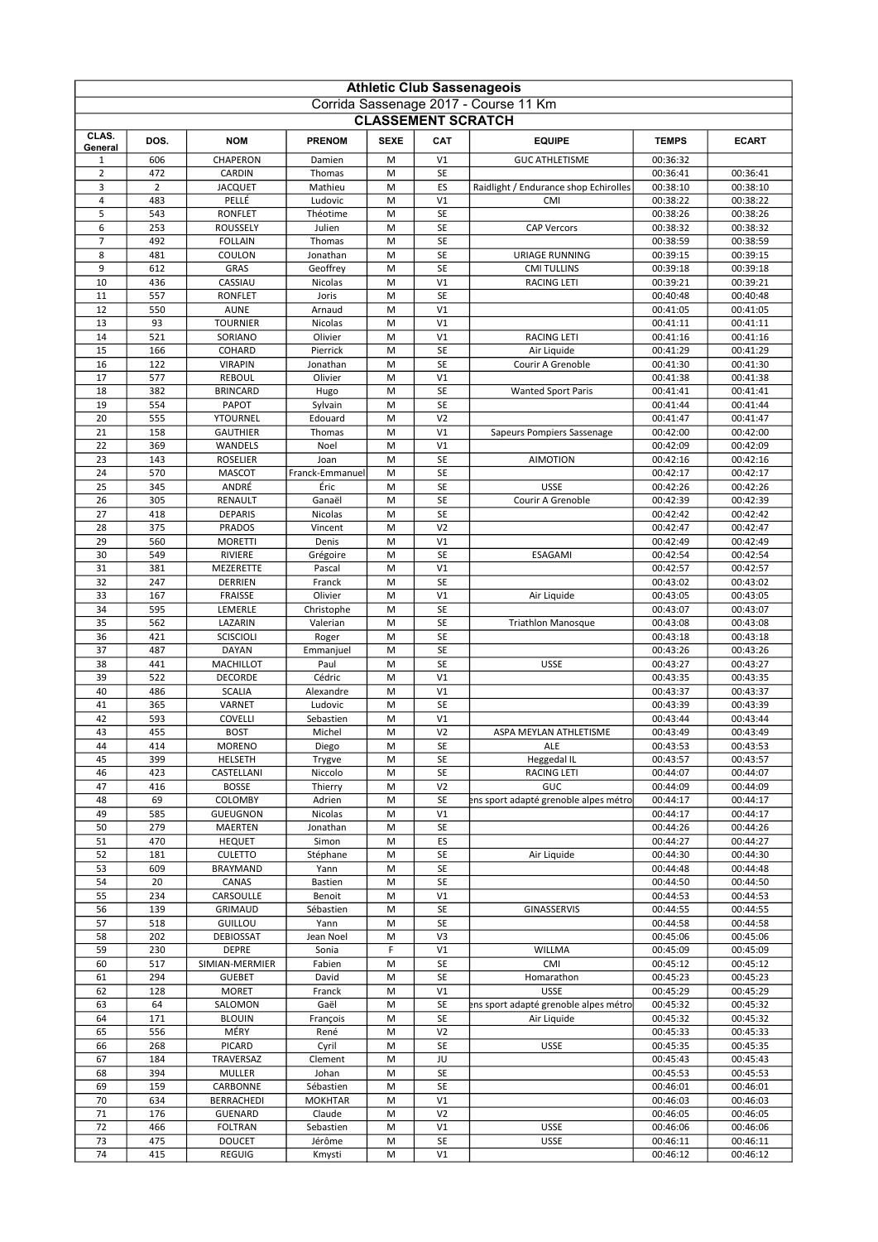| <b>Athletic Club Sassenageois</b> |                                       |                                 |                             |             |                           |                                              |                      |                      |  |  |  |  |
|-----------------------------------|---------------------------------------|---------------------------------|-----------------------------|-------------|---------------------------|----------------------------------------------|----------------------|----------------------|--|--|--|--|
|                                   | Corrida Sassenage 2017 - Course 11 Km |                                 |                             |             |                           |                                              |                      |                      |  |  |  |  |
|                                   |                                       |                                 |                             |             | <b>CLASSEMENT SCRATCH</b> |                                              |                      |                      |  |  |  |  |
| CLAS.                             | DOS.                                  | <b>NOM</b>                      | <b>PRENOM</b>               | <b>SEXE</b> | <b>CAT</b>                | <b>EQUIPE</b>                                | <b>TEMPS</b>         | <b>ECART</b>         |  |  |  |  |
| General<br>1                      | 606                                   | CHAPERON                        | Damien                      | M           | V1                        | <b>GUC ATHLETISME</b>                        | 00:36:32             |                      |  |  |  |  |
| $\overline{2}$                    | 472                                   | CARDIN                          | Thomas                      | M           | SE                        |                                              | 00:36:41             | 00:36:41             |  |  |  |  |
| 3                                 | $\overline{2}$                        | <b>JACQUET</b>                  | Mathieu                     | M           | ES                        | Raidlight / Endurance shop Echirolles        | 00:38:10             | 00:38:10             |  |  |  |  |
| 4                                 | 483                                   | PELLÉ                           | Ludovic                     | M           | V <sub>1</sub>            | <b>CMI</b>                                   | 00:38:22             | 00:38:22             |  |  |  |  |
| 5                                 | 543                                   | <b>RONFLET</b>                  | Théotime                    | M           | SE                        |                                              | 00:38:26             | 00:38:26             |  |  |  |  |
| 6<br>7                            | 253<br>492                            | ROUSSELY<br><b>FOLLAIN</b>      | Julien<br>Thomas            | M<br>M      | SE<br>SE                  | <b>CAP Vercors</b>                           | 00:38:32<br>00:38:59 | 00:38:32<br>00:38:59 |  |  |  |  |
| 8                                 | 481                                   | COULON                          | Jonathan                    | M           | SE                        | <b>URIAGE RUNNING</b>                        | 00:39:15             | 00:39:15             |  |  |  |  |
| 9                                 | 612                                   | GRAS                            | Geoffrey                    | M           | SE                        | <b>CMI TULLINS</b>                           | 00:39:18             | 00:39:18             |  |  |  |  |
| 10                                | 436                                   | CASSIAU                         | Nicolas                     | M           | V <sub>1</sub>            | <b>RACING LETI</b>                           | 00:39:21             | 00:39:21             |  |  |  |  |
| 11                                | 557                                   | <b>RONFLET</b>                  | Joris                       | M           | SE                        |                                              | 00:40:48             | 00:40:48             |  |  |  |  |
| 12                                | 550                                   | <b>AUNE</b>                     | Arnaud                      | M           | V1                        |                                              | 00:41:05             | 00:41:05             |  |  |  |  |
| 13<br>14                          | 93<br>521                             | <b>TOURNIER</b><br>SORIANO      | Nicolas<br>Olivier          | M<br>M      | V <sub>1</sub><br>V1      | <b>RACING LETI</b>                           | 00:41:11<br>00:41:16 | 00:41:11<br>00:41:16 |  |  |  |  |
| 15                                | 166                                   | COHARD                          | Pierrick                    | M           | SE                        | Air Liquide                                  | 00:41:29             | 00:41:29             |  |  |  |  |
| 16                                | 122                                   | <b>VIRAPIN</b>                  | Jonathan                    | M           | SE                        | Courir A Grenoble                            | 00:41:30             | 00:41:30             |  |  |  |  |
| 17                                | 577                                   | <b>REBOUL</b>                   | Olivier                     | M           | V1                        |                                              | 00:41:38             | 00:41:38             |  |  |  |  |
| 18                                | 382                                   | <b>BRINCARD</b>                 | Hugo                        | M           | SE                        | <b>Wanted Sport Paris</b>                    | 00:41:41             | 00:41:41             |  |  |  |  |
| 19                                | 554                                   | PAPOT                           | Sylvain                     | M           | SE                        |                                              | 00:41:44             | 00:41:44             |  |  |  |  |
| 20<br>21                          | 555<br>158                            | YTOURNEL<br><b>GAUTHIER</b>     | Edouard<br>Thomas           | M<br>M      | V <sub>2</sub><br>V1      | Sapeurs Pompiers Sassenage                   | 00:41:47<br>00:42:00 | 00:41:47<br>00:42:00 |  |  |  |  |
| 22                                | 369                                   | <b>WANDELS</b>                  | Noel                        | M           | V1                        |                                              | 00:42:09             | 00:42:09             |  |  |  |  |
| 23                                | 143                                   | <b>ROSELIER</b>                 | Joan                        | M           | SE                        | <b>AIMOTION</b>                              | 00:42:16             | 00:42:16             |  |  |  |  |
| 24                                | 570                                   | <b>MASCOT</b>                   | Franck-Emmanuel             | M           | SE                        |                                              | 00:42:17             | 00:42:17             |  |  |  |  |
| 25                                | 345                                   | ANDRÉ                           | Éric                        | M           | SE                        | <b>USSE</b>                                  | 00:42:26             | 00:42:26             |  |  |  |  |
| 26                                | 305                                   | RENAULT                         | Ganaël                      | M           | SE                        | Courir A Grenoble                            | 00:42:39             | 00:42:39             |  |  |  |  |
| 27<br>28                          | 418<br>375                            | <b>DEPARIS</b><br><b>PRADOS</b> | Nicolas<br>Vincent          | M<br>M      | SE<br>V <sub>2</sub>      |                                              | 00:42:42<br>00:42:47 | 00:42:42<br>00:42:47 |  |  |  |  |
| 29                                | 560                                   | <b>MORETTI</b>                  | Denis                       | M           | V <sub>1</sub>            |                                              | 00:42:49             | 00:42:49             |  |  |  |  |
| 30                                | 549                                   | RIVIERE                         | Grégoire                    | M           | <b>SE</b>                 | ESAGAMI                                      | 00:42:54             | 00:42:54             |  |  |  |  |
| 31                                | 381                                   | MEZERETTE                       | Pascal                      | M           | V <sub>1</sub>            |                                              | 00:42:57             | 00:42:57             |  |  |  |  |
| 32                                | 247                                   | <b>DERRIEN</b>                  | Franck                      | M           | <b>SE</b>                 |                                              | 00:43:02             | 00:43:02             |  |  |  |  |
| 33                                | 167                                   | FRAISSE                         | Olivier                     | M           | V <sub>1</sub>            | Air Liquide                                  | 00:43:05             | 00:43:05             |  |  |  |  |
| 34<br>35                          | 595<br>562                            | LEMERLE<br>LAZARIN              | Christophe<br>Valerian      | M<br>M      | SE<br>SE                  | <b>Triathlon Manosque</b>                    | 00:43:07<br>00:43:08 | 00:43:07<br>00:43:08 |  |  |  |  |
| 36                                | 421                                   | <b>SCISCIOLI</b>                | Roger                       | M           | SE                        |                                              | 00:43:18             | 00:43:18             |  |  |  |  |
| 37                                | 487                                   | <b>DAYAN</b>                    | Emmanjuel                   | M           | SE                        |                                              | 00:43:26             | 00:43:26             |  |  |  |  |
| 38                                | 441                                   | MACHILLOT                       | Paul                        | M           | SE                        | <b>USSE</b>                                  | 00:43:27             | 00:43:27             |  |  |  |  |
| 39                                | 522                                   | <b>DECORDE</b>                  | Cédric                      | M           | V <sub>1</sub>            |                                              | 00:43:35             | 00:43:35             |  |  |  |  |
| 40<br>41                          | 486                                   | <b>SCALIA</b><br>VARNET         | Alexandre<br>Ludovic        | M<br>M      | V <sub>1</sub><br>SE      |                                              | 00:43:37             | 00:43:37             |  |  |  |  |
| 42                                | 365<br>593                            | COVELLI                         | Sebastien                   | M           | V1                        |                                              | 00:43:39<br>00:43:44 | 00:43:39<br>00:43:44 |  |  |  |  |
| 43                                | 455                                   | <b>BOST</b>                     | Michel                      | M           | V <sub>2</sub>            | ASPA MEYLAN ATHLETISME                       | 00:43:49             | 00:43:49             |  |  |  |  |
| 44                                | 414                                   | <b>MORENO</b>                   | Diego                       | М           | SE                        | ALE                                          | 00:43:53             | 00:43:53             |  |  |  |  |
| 45                                | 399                                   | HELSETH                         | Trygve                      | M           | SE                        | Heggedal IL                                  | 00:43:57             | 00:43:57             |  |  |  |  |
| 46                                | 423                                   | CASTELLANI                      | Niccolo                     | M           | SE                        | <b>RACING LETI</b>                           | 00:44:07             | 00:44:07             |  |  |  |  |
| 47<br>48                          | 416<br>69                             | <b>BOSSE</b><br>COLOMBY         | Thierry<br>Adrien           | M<br>M      | V <sub>2</sub><br>SE      | GUC<br>ens sport adapté grenoble alpes métro | 00:44:09<br>00:44:17 | 00:44:09<br>00:44:17 |  |  |  |  |
| 49                                | 585                                   | <b>GUEUGNON</b>                 | Nicolas                     | M           | V1                        |                                              | 00:44:17             | 00:44:17             |  |  |  |  |
| 50                                | 279                                   | <b>MAERTEN</b>                  | Jonathan                    | M           | SE                        |                                              | 00:44:26             | 00:44:26             |  |  |  |  |
| 51                                | 470                                   | <b>HEQUET</b>                   | Simon                       | M           | ES                        |                                              | 00:44:27             | 00:44:27             |  |  |  |  |
| 52                                | 181                                   | <b>CULETTO</b>                  | Stéphane                    | M           | SE                        | Air Liquide                                  | 00:44:30             | 00:44:30             |  |  |  |  |
| 53                                | 609                                   | <b>BRAYMAND</b>                 | Yann                        | M           | SE                        |                                              | 00:44:48             | 00:44:48             |  |  |  |  |
| 54<br>55                          | 20<br>234                             | CANAS<br>CARSOULLE              | <b>Bastien</b><br>Benoit    | M<br>M      | SE<br>V1                  |                                              | 00:44:50<br>00:44:53 | 00:44:50<br>00:44:53 |  |  |  |  |
| 56                                | 139                                   | <b>GRIMAUD</b>                  | Sébastien                   | M           | SE                        | GINASSERVIS                                  | 00:44:55             | 00:44:55             |  |  |  |  |
| 57                                | 518                                   | GUILLOU                         | Yann                        | M           | SE                        |                                              | 00:44:58             | 00:44:58             |  |  |  |  |
| 58                                | 202                                   | DEBIOSSAT                       | Jean Noel                   | M           | V3                        |                                              | 00:45:06             | 00:45:06             |  |  |  |  |
| 59                                | 230                                   | DEPRE                           | Sonia                       | F           | V1                        | <b>WILLMA</b>                                | 00:45:09             | 00:45:09             |  |  |  |  |
| 60                                | 517                                   | SIMIAN-MERMIER                  | Fabien                      | M           | SE                        | CMI                                          | 00:45:12             | 00:45:12             |  |  |  |  |
| 61                                | 294                                   | <b>GUEBET</b>                   | David                       | M<br>M      | SE                        | Homarathon<br><b>USSE</b>                    | 00:45:23             | 00:45:23             |  |  |  |  |
| 62<br>63                          | 128<br>64                             | <b>MORET</b><br>SALOMON         | Franck<br>Gaël              | M           | V1<br><b>SE</b>           | ens sport adapté grenoble alpes métro        | 00:45:29<br>00:45:32 | 00:45:29<br>00:45:32 |  |  |  |  |
| 64                                | 171                                   | <b>BLOUIN</b>                   | François                    | M           | SE                        | Air Liquide                                  | 00:45:32             | 00:45:32             |  |  |  |  |
| 65                                | 556                                   | MÉRY                            | René                        | M           | V <sub>2</sub>            |                                              | 00:45:33             | 00:45:33             |  |  |  |  |
| 66                                | 268                                   | <b>PICARD</b>                   | Cyril                       | M           | SE                        | <b>USSE</b>                                  | 00:45:35             | 00:45:35             |  |  |  |  |
| 67                                | 184                                   | TRAVERSAZ                       | Clement                     | M           | JU                        |                                              | 00:45:43             | 00:45:43             |  |  |  |  |
| 68                                | 394                                   | MULLER                          | Johan                       | M           | SE                        |                                              | 00:45:53             | 00:45:53             |  |  |  |  |
| 69<br>70                          | 159                                   | CARBONNE                        | Sébastien<br><b>MOKHTAR</b> | M           | SE<br>V1                  |                                              | 00:46:01<br>00:46:03 | 00:46:01             |  |  |  |  |
| 71                                | 634<br>176                            | BERRACHEDI<br><b>GUENARD</b>    | Claude                      | M<br>M      | V <sub>2</sub>            |                                              | 00:46:05             | 00:46:03<br>00:46:05 |  |  |  |  |
| 72                                | 466                                   | <b>FOLTRAN</b>                  | Sebastien                   | M           | V1                        | <b>USSE</b>                                  | 00:46:06             | 00:46:06             |  |  |  |  |
| 73                                | 475                                   | <b>DOUCET</b>                   | Jérôme                      | M           | SE                        | USSE                                         | 00:46:11             | 00:46:11             |  |  |  |  |
| 74                                | 415                                   | REGUIG                          | Kmysti                      | M           | V1                        |                                              | 00:46:12             | 00:46:12             |  |  |  |  |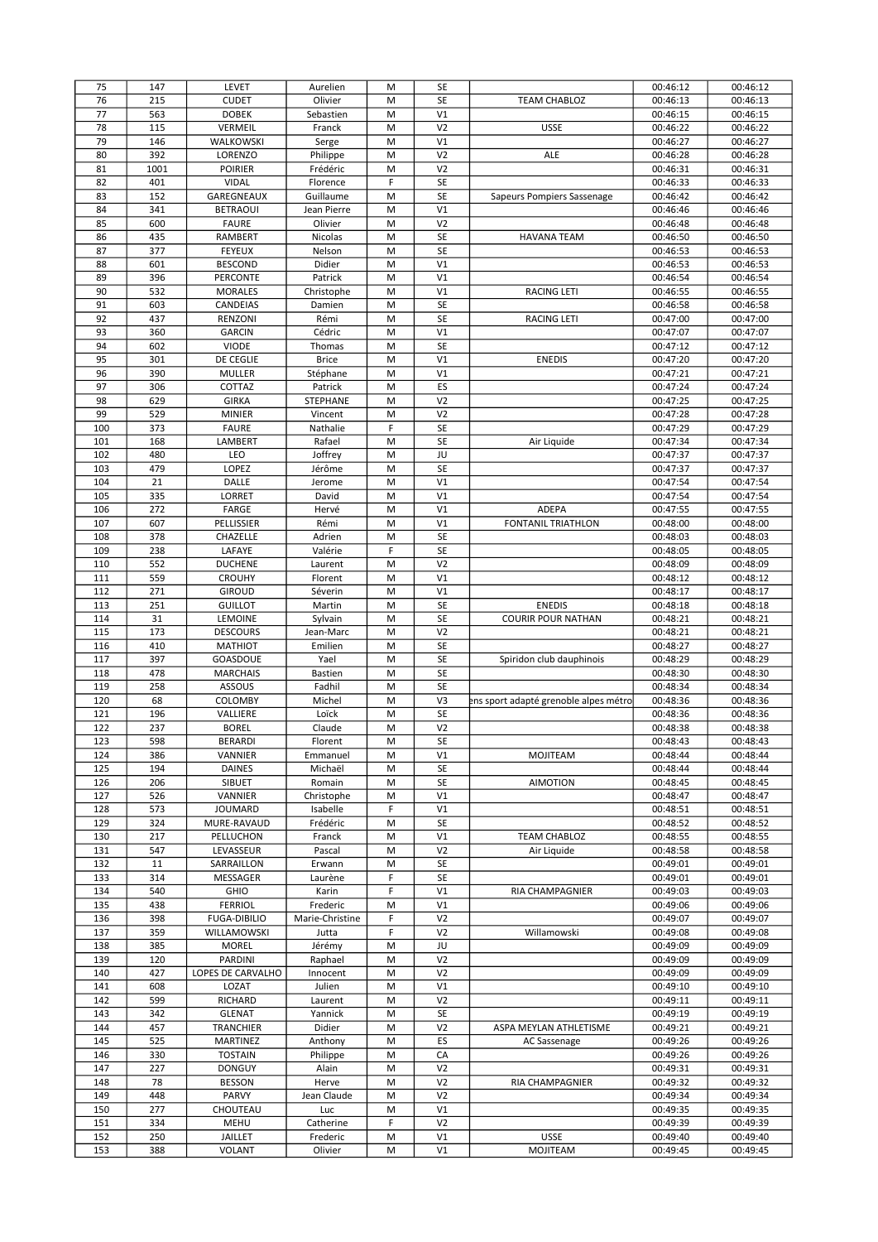| 75  | 147  | LEVET               | Aurelien        | M | SE             |                                       | 00:46:12 | 00:46:12 |
|-----|------|---------------------|-----------------|---|----------------|---------------------------------------|----------|----------|
| 76  | 215  | <b>CUDET</b>        | Olivier         | M | SE             | TEAM CHABLOZ                          | 00:46:13 | 00:46:13 |
|     |      |                     |                 |   |                |                                       |          |          |
| 77  | 563  | <b>DOBEK</b>        | Sebastien       | M | V <sub>1</sub> |                                       | 00:46:15 | 00:46:15 |
| 78  | 115  | VERMEIL             | Franck          | M | V <sub>2</sub> | <b>USSE</b>                           | 00:46:22 | 00:46:22 |
| 79  | 146  | WALKOWSKI           | Serge           | M | V1             |                                       | 00:46:27 | 00:46:27 |
| 80  | 392  | LORENZO             | Philippe        | M | V <sub>2</sub> | ALE                                   | 00:46:28 | 00:46:28 |
|     | 1001 | <b>POIRIER</b>      | Frédéric        | M | V <sub>2</sub> |                                       | 00:46:31 |          |
| 81  |      |                     |                 |   |                |                                       |          | 00:46:31 |
| 82  | 401  | <b>VIDAL</b>        | Florence        | F | <b>SE</b>      |                                       | 00:46:33 | 00:46:33 |
| 83  | 152  | GAREGNEAUX          | Guillaume       | M | SE             | Sapeurs Pompiers Sassenage            | 00:46:42 | 00:46:42 |
| 84  | 341  | <b>BETRAOUI</b>     | Jean Pierre     | M | V1             |                                       | 00:46:46 | 00:46:46 |
| 85  | 600  | <b>FAURE</b>        | Olivier         | M | V <sub>2</sub> |                                       | 00:46:48 | 00:46:48 |
|     |      |                     |                 |   |                |                                       |          |          |
| 86  | 435  | <b>RAMBERT</b>      | Nicolas         | M | SE             | <b>HAVANA TEAM</b>                    | 00:46:50 | 00:46:50 |
| 87  | 377  | <b>FEYEUX</b>       | Nelson          | M | SE             |                                       | 00:46:53 | 00:46:53 |
| 88  | 601  | <b>BESCOND</b>      | Didier          | M | V <sub>1</sub> |                                       | 00:46:53 | 00:46:53 |
| 89  | 396  | PERCONTE            | Patrick         | M | V <sub>1</sub> |                                       | 00:46:54 | 00:46:54 |
| 90  | 532  | <b>MORALES</b>      |                 | M | V1             |                                       | 00:46:55 | 00:46:55 |
|     |      |                     | Christophe      |   |                | <b>RACING LETI</b>                    |          |          |
| 91  | 603  | CANDEIAS            | Damien          | M | SE             |                                       | 00:46:58 | 00:46:58 |
| 92  | 437  | RENZONI             | Rémi            | M | SE             | <b>RACING LETI</b>                    | 00:47:00 | 00:47:00 |
| 93  | 360  | <b>GARCIN</b>       | Cédric          | M | V1             |                                       | 00:47:07 | 00:47:07 |
| 94  | 602  | <b>VIODE</b>        | Thomas          | M | <b>SE</b>      |                                       | 00:47:12 | 00:47:12 |
| 95  | 301  | DE CEGLIE           | <b>Brice</b>    | M | V <sub>1</sub> | <b>ENEDIS</b>                         | 00:47:20 | 00:47:20 |
|     |      |                     |                 |   |                |                                       |          |          |
| 96  | 390  | <b>MULLER</b>       | Stéphane        | M | V1             |                                       | 00:47:21 | 00:47:21 |
| 97  | 306  | COTTAZ              | Patrick         | M | ES             |                                       | 00:47:24 | 00:47:24 |
| 98  | 629  | <b>GIRKA</b>        | <b>STEPHANE</b> | M | V <sub>2</sub> |                                       | 00:47:25 | 00:47:25 |
| 99  | 529  | <b>MINIER</b>       | Vincent         | M | V <sub>2</sub> |                                       | 00:47:28 | 00:47:28 |
|     |      |                     |                 | F |                |                                       |          | 00:47:29 |
| 100 | 373  | <b>FAURE</b>        | Nathalie        |   | SE             |                                       | 00:47:29 |          |
| 101 | 168  | LAMBERT             | Rafael          | M | <b>SE</b>      | Air Liquide                           | 00:47:34 | 00:47:34 |
| 102 | 480  | LEO                 | Joffrey         | M | JU             |                                       | 00:47:37 | 00:47:37 |
| 103 | 479  | LOPEZ               | Jérôme          | M | SE             |                                       | 00:47:37 | 00:47:37 |
| 104 | 21   | DALLE               | Jerome          | M | V <sub>1</sub> |                                       | 00:47:54 | 00:47:54 |
|     |      |                     |                 |   |                |                                       |          |          |
| 105 | 335  | LORRET              | David           | M | V <sub>1</sub> |                                       | 00:47:54 | 00:47:54 |
| 106 | 272  | FARGE               | Hervé           | M | V <sub>1</sub> | ADEPA                                 | 00:47:55 | 00:47:55 |
| 107 | 607  | PELLISSIER          | Rémi            | M | V1             | <b>FONTANIL TRIATHLON</b>             | 00:48:00 | 00:48:00 |
| 108 | 378  | CHAZELLE            | Adrien          | M | <b>SE</b>      |                                       | 00:48:03 | 00:48:03 |
| 109 | 238  | LAFAYE              | Valérie         | F | SE             |                                       | 00:48:05 | 00:48:05 |
|     |      |                     |                 |   |                |                                       |          |          |
| 110 | 552  | <b>DUCHENE</b>      | Laurent         | M | V <sub>2</sub> |                                       | 00:48:09 | 00:48:09 |
| 111 | 559  | <b>CROUHY</b>       | Florent         | M | V1             |                                       | 00:48:12 | 00:48:12 |
| 112 | 271  | <b>GIROUD</b>       | Séverin         | M | V <sub>1</sub> |                                       | 00:48:17 | 00:48:17 |
| 113 | 251  | <b>GUILLOT</b>      | Martin          | M | SE             | <b>ENEDIS</b>                         | 00:48:18 | 00:48:18 |
| 114 | 31   | LEMOINE             | Sylvain         | M | <b>SE</b>      | <b>COURIR POUR NATHAN</b>             | 00:48:21 | 00:48:21 |
|     |      |                     |                 |   |                |                                       |          |          |
| 115 | 173  | <b>DESCOURS</b>     | Jean-Marc       | M | V <sub>2</sub> |                                       | 00:48:21 | 00:48:21 |
| 116 | 410  | <b>MATHIOT</b>      | Emilien         | M | SE             |                                       | 00:48:27 | 00:48:27 |
| 117 | 397  | GOASDOUE            | Yael            | M | <b>SE</b>      | Spiridon club dauphinois              | 00:48:29 | 00:48:29 |
| 118 | 478  | <b>MARCHAIS</b>     | <b>Bastien</b>  | M | SE             |                                       | 00:48:30 | 00:48:30 |
| 119 | 258  | ASSOUS              | Fadhil          | M | <b>SE</b>      |                                       | 00:48:34 | 00:48:34 |
|     |      |                     |                 |   |                |                                       |          |          |
| 120 | 68   | COLOMBY             | Michel          | M | V3             | ens sport adapté grenoble alpes métro | 00:48:36 | 00:48:36 |
| 121 | 196  | VALLIERE            | Loïck           | M | <b>SE</b>      |                                       | 00:48:36 | 00:48:36 |
| 122 | 237  | <b>BOREL</b>        | Claude          | M | V <sub>2</sub> |                                       | 00:48:38 | 00:48:38 |
| 123 | 598  | <b>BERARDI</b>      | Florent         | M | <b>SE</b>      |                                       | 00:48:43 | 00:48:43 |
|     |      |                     |                 |   | V <sub>1</sub> | <b>MOJITEAM</b>                       | 00:48:44 | 00:48:44 |
| 124 | 386  | VANNIER             | Emmanuel        | М |                |                                       |          |          |
| 125 | 194  | <b>DAINES</b>       | Michaël         | M | SE             |                                       | 00:48:44 | 00:48:44 |
| 126 | 206  | <b>SIBUET</b>       | Romain          | Μ | SE             | <b>AIMOTION</b>                       | 00:48:45 | 00:48:45 |
| 127 | 526  | VANNIER             | Christophe      | M | V1             |                                       | 00:48:47 | 00:48:47 |
| 128 | 573  | <b>JOUMARD</b>      | Isabelle        | F | V1             |                                       | 00:48:51 | 00:48:51 |
| 129 | 324  | MURE-RAVAUD         | Frédéric        | M | SE             |                                       | 00:48:52 | 00:48:52 |
|     |      |                     |                 |   |                |                                       |          |          |
| 130 | 217  |                     |                 |   |                |                                       |          |          |
| 131 |      | PELLUCHON           | Franck          | M | V1             | TEAM CHABLOZ                          | 00:48:55 | 00:48:55 |
| 132 | 547  | LEVASSEUR           | Pascal          | M | V <sub>2</sub> | Air Liquide                           | 00:48:58 | 00:48:58 |
|     | 11   | SARRAILLON          | Erwann          | Μ | SE             |                                       | 00:49:01 | 00:49:01 |
| 133 | 314  | MESSAGER            | Laurène         | F | SE             |                                       | 00:49:01 | 00:49:01 |
|     |      |                     |                 |   |                |                                       |          |          |
| 134 | 540  | GHIO                | Karin           | F | V <sub>1</sub> | RIA CHAMPAGNIER                       | 00:49:03 | 00:49:03 |
| 135 | 438  | <b>FERRIOL</b>      | Frederic        | M | V1             |                                       | 00:49:06 | 00:49:06 |
| 136 | 398  | <b>FUGA-DIBILIO</b> | Marie-Christine | F | V <sub>2</sub> |                                       | 00:49:07 | 00:49:07 |
| 137 | 359  | WILLAMOWSKI         | Jutta           | F | V <sub>2</sub> | Willamowski                           | 00:49:08 | 00:49:08 |
| 138 | 385  | <b>MOREL</b>        | Jérémy          | M | JU             |                                       | 00:49:09 | 00:49:09 |
|     |      |                     |                 |   |                |                                       |          |          |
| 139 | 120  | PARDINI             | Raphael         | M | V <sub>2</sub> |                                       | 00:49:09 | 00:49:09 |
| 140 | 427  | LOPES DE CARVALHO   | Innocent        | М | V <sub>2</sub> |                                       | 00:49:09 | 00:49:09 |
| 141 | 608  | LOZAT               | Julien          | M | V1             |                                       | 00:49:10 | 00:49:10 |
| 142 | 599  | RICHARD             | Laurent         | M | V <sub>2</sub> |                                       | 00:49:11 | 00:49:11 |
| 143 | 342  | <b>GLENAT</b>       | Yannick         | Μ | SE             |                                       | 00:49:19 | 00:49:19 |
|     |      |                     |                 |   |                |                                       |          |          |
| 144 | 457  | <b>TRANCHIER</b>    | Didier          | Μ | V <sub>2</sub> | ASPA MEYLAN ATHLETISME                | 00:49:21 | 00:49:21 |
| 145 | 525  | MARTINEZ            | Anthony         | М | ES             | AC Sassenage                          | 00:49:26 | 00:49:26 |
| 146 | 330  | <b>TOSTAIN</b>      | Philippe        | M | CA             |                                       | 00:49:26 | 00:49:26 |
| 147 | 227  | <b>DONGUY</b>       | Alain           | M | V <sub>2</sub> |                                       | 00:49:31 | 00:49:31 |
| 148 | 78   | <b>BESSON</b>       | Herve           | M | V <sub>2</sub> | RIA CHAMPAGNIER                       | 00:49:32 |          |
|     |      |                     |                 |   |                |                                       |          | 00:49:32 |
| 149 | 448  | PARVY               | Jean Claude     | M | V <sub>2</sub> |                                       | 00:49:34 | 00:49:34 |
| 150 | 277  | CHOUTEAU            | Luc             | Μ | V1             |                                       | 00:49:35 | 00:49:35 |
| 151 | 334  | <b>MEHU</b>         | Catherine       | F | V <sub>2</sub> |                                       | 00:49:39 | 00:49:39 |
| 152 | 250  | <b>JAILLET</b>      | Frederic        | M | V1             | <b>USSE</b>                           | 00:49:40 | 00:49:40 |
| 153 | 388  | <b>VOLANT</b>       | Olivier         | M | V1             | <b>MOJITEAM</b>                       | 00:49:45 | 00:49:45 |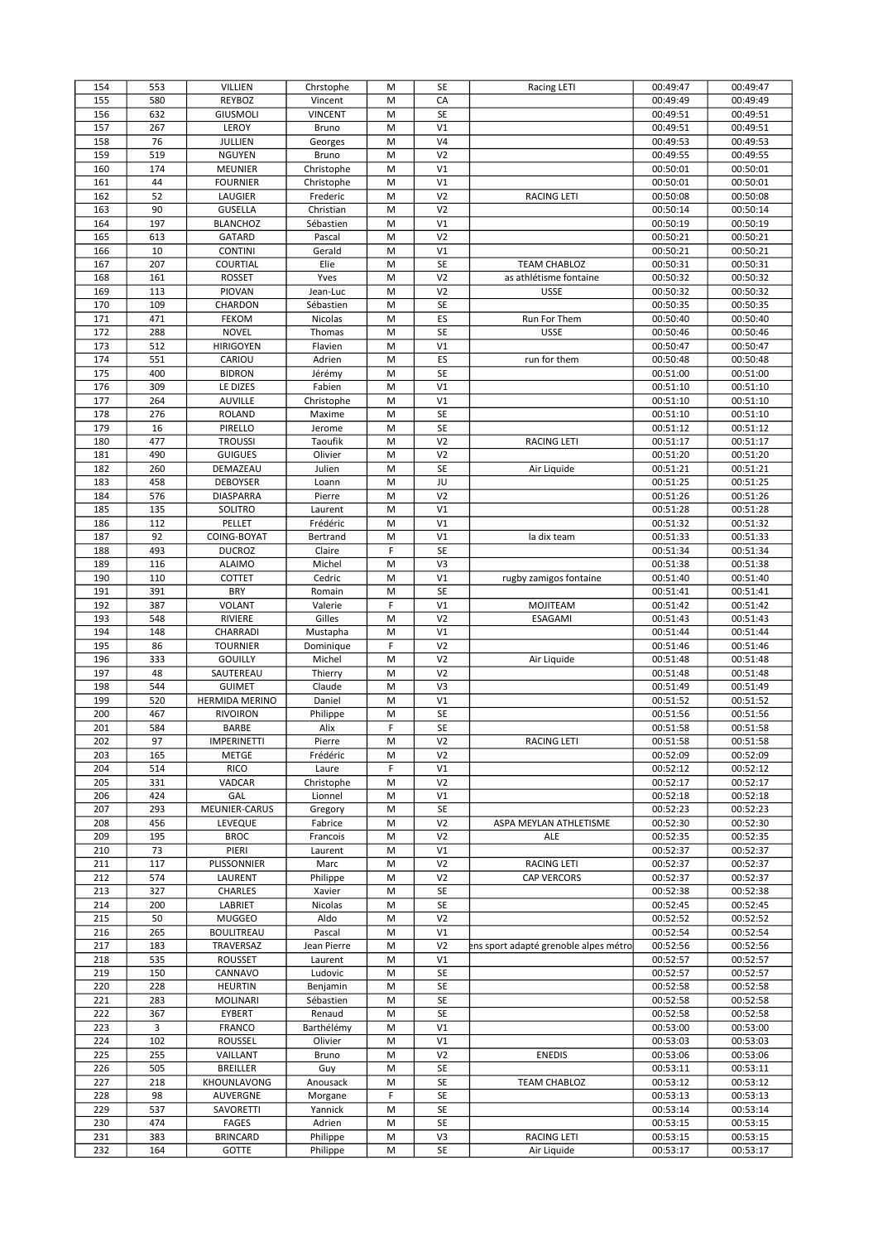| 154 | 553 | VILLIEN               | Chrstophe      | M | SE             | Racing LETI                           | 00:49:47 | 00:49:47 |
|-----|-----|-----------------------|----------------|---|----------------|---------------------------------------|----------|----------|
| 155 | 580 | <b>REYBOZ</b>         | Vincent        | M | CA             |                                       | 00:49:49 | 00:49:49 |
|     |     |                       |                |   |                |                                       |          |          |
| 156 | 632 | <b>GIUSMOLI</b>       | <b>VINCENT</b> | M | <b>SE</b>      |                                       | 00:49:51 | 00:49:51 |
| 157 | 267 | LEROY                 | Bruno          | M | V1             |                                       | 00:49:51 | 00:49:51 |
| 158 | 76  | JULLIEN               | Georges        | M | V <sub>4</sub> |                                       | 00:49:53 | 00:49:53 |
| 159 | 519 | <b>NGUYEN</b>         | <b>Bruno</b>   | M | V <sub>2</sub> |                                       | 00:49:55 | 00:49:55 |
|     |     |                       |                |   |                |                                       |          |          |
| 160 | 174 | <b>MEUNIER</b>        | Christophe     | M | V1             |                                       | 00:50:01 | 00:50:01 |
| 161 | 44  | <b>FOURNIER</b>       | Christophe     | M | V <sub>1</sub> |                                       | 00:50:01 | 00:50:01 |
| 162 | 52  | LAUGIER               | Frederic       | M | V <sub>2</sub> | <b>RACING LETI</b>                    | 00:50:08 | 00:50:08 |
| 163 | 90  | <b>GUSELLA</b>        | Christian      | M | V <sub>2</sub> |                                       | 00:50:14 | 00:50:14 |
| 164 | 197 | <b>BLANCHOZ</b>       | Sébastien      | M | V1             |                                       | 00:50:19 | 00:50:19 |
|     |     |                       |                |   |                |                                       |          |          |
| 165 | 613 | GATARD                | Pascal         | M | V <sub>2</sub> |                                       | 00:50:21 | 00:50:21 |
| 166 | 10  | <b>CONTINI</b>        | Gerald         | М | V1             |                                       | 00:50:21 | 00:50:21 |
| 167 | 207 | COURTIAL              | Elie           | M | <b>SE</b>      | TEAM CHABLOZ                          | 00:50:31 | 00:50:31 |
| 168 | 161 | <b>ROSSET</b>         | Yves           | M | V <sub>2</sub> | as athlétisme fontaine                | 00:50:32 | 00:50:32 |
|     |     |                       |                |   |                |                                       |          |          |
| 169 | 113 | PIOVAN                | Jean-Luc       | M | V <sub>2</sub> | <b>USSE</b>                           | 00:50:32 | 00:50:32 |
| 170 | 109 | CHARDON               | Sébastien      | M | SE             |                                       | 00:50:35 | 00:50:35 |
| 171 | 471 | <b>FEKOM</b>          | Nicolas        | M | ES             | Run For Them                          | 00:50:40 | 00:50:40 |
| 172 | 288 | <b>NOVEL</b>          | Thomas         | M | <b>SE</b>      | <b>USSE</b>                           | 00:50:46 | 00:50:46 |
| 173 | 512 | <b>HIRIGOYEN</b>      | Flavien        | M | V <sub>1</sub> |                                       | 00:50:47 | 00:50:47 |
| 174 |     |                       |                |   |                |                                       |          |          |
|     | 551 | CARIOU                | Adrien         | M | ES             | run for them                          | 00:50:48 | 00:50:48 |
| 175 | 400 | <b>BIDRON</b>         | Jérémy         | M | <b>SE</b>      |                                       | 00:51:00 | 00:51:00 |
| 176 | 309 | LE DIZES              | Fabien         | M | V <sub>1</sub> |                                       | 00:51:10 | 00:51:10 |
| 177 | 264 | <b>AUVILLE</b>        | Christophe     | M | V <sub>1</sub> |                                       | 00:51:10 | 00:51:10 |
| 178 | 276 | <b>ROLAND</b>         | Maxime         | M | SE             |                                       | 00:51:10 | 00:51:10 |
| 179 | 16  |                       |                | M | SE             |                                       |          |          |
|     |     | PIRELLO               | Jerome         |   |                |                                       | 00:51:12 | 00:51:12 |
| 180 | 477 | <b>TROUSSI</b>        | Taoufik        | M | V <sub>2</sub> | <b>RACING LETI</b>                    | 00:51:17 | 00:51:17 |
| 181 | 490 | <b>GUIGUES</b>        | Olivier        | M | V <sub>2</sub> |                                       | 00:51:20 | 00:51:20 |
| 182 | 260 | DEMAZEAU              | Julien         | M | SE             | Air Liquide                           | 00:51:21 | 00:51:21 |
| 183 | 458 | <b>DEBOYSER</b>       | Loann          | M | JU             |                                       | 00:51:25 | 00:51:25 |
|     | 576 |                       |                |   | V <sub>2</sub> |                                       |          |          |
| 184 |     | <b>DIASPARRA</b>      | Pierre         | M |                |                                       | 00:51:26 | 00:51:26 |
| 185 | 135 | SOLITRO               | Laurent        | M | V <sub>1</sub> |                                       | 00:51:28 | 00:51:28 |
| 186 | 112 | PELLET                | Frédéric       | M | V1             |                                       | 00:51:32 | 00:51:32 |
| 187 | 92  | COING-BOYAT           | Bertrand       | M | V <sub>1</sub> | la dix team                           | 00:51:33 | 00:51:33 |
| 188 | 493 | <b>DUCROZ</b>         | Claire         | F | SE             |                                       | 00:51:34 | 00:51:34 |
|     |     |                       |                |   |                |                                       |          |          |
| 189 | 116 | <b>ALAIMO</b>         | Michel         | M | V3             |                                       | 00:51:38 | 00:51:38 |
| 190 | 110 | COTTET                | Cedric         | M | V1             | rugby zamigos fontaine                | 00:51:40 | 00:51:40 |
| 191 | 391 | <b>BRY</b>            | Romain         | M | SE             |                                       | 00:51:41 | 00:51:41 |
| 192 | 387 | <b>VOLANT</b>         | Valerie        | F | V <sub>1</sub> | MOJITEAM                              | 00:51:42 | 00:51:42 |
| 193 | 548 | RIVIERE               | Gilles         | M | V <sub>2</sub> | ESAGAMI                               | 00:51:43 | 00:51:43 |
|     |     |                       |                |   |                |                                       |          |          |
| 194 | 148 | CHARRADI              | Mustapha       | M | V <sub>1</sub> |                                       | 00:51:44 | 00:51:44 |
| 195 | 86  | <b>TOURNIER</b>       | Dominique      | F | V <sub>2</sub> |                                       | 00:51:46 | 00:51:46 |
| 196 | 333 | <b>GOUILLY</b>        | Michel         | M | V <sub>2</sub> | Air Liquide                           | 00:51:48 | 00:51:48 |
| 197 | 48  | SAUTEREAU             | Thierry        | M | V <sub>2</sub> |                                       | 00:51:48 | 00:51:48 |
| 198 | 544 | <b>GUIMET</b>         | Claude         | M | V3             |                                       | 00:51:49 | 00:51:49 |
|     |     |                       |                |   |                |                                       |          |          |
| 199 | 520 | <b>HERMIDA MERINO</b> | Daniel         | M | V1             |                                       | 00:51:52 | 00:51:52 |
| 200 | 467 | <b>RIVOIRON</b>       | Philippe       | M | <b>SE</b>      |                                       | 00:51:56 | 00:51:56 |
| 201 | 584 | <b>BARBE</b>          | Alix           | F | <b>SE</b>      |                                       | 00:51:58 | 00:51:58 |
| 202 | 97  | <b>IMPERINETTI</b>    | Pierre         | M | V <sub>2</sub> | <b>RACING LETI</b>                    | 00:51:58 | 00:51:58 |
| 203 | 165 | METGE                 | Frédéric       | Μ | V2             |                                       | 00:52:09 | 00:52:09 |
| 204 | 514 |                       |                | F | V1             |                                       | 00:52:12 | 00:52:12 |
|     |     | RICO                  | Laure          |   |                |                                       |          |          |
| 205 | 331 | VADCAR                | Christophe     | M | V <sub>2</sub> |                                       | 00:52:17 | 00:52:17 |
| 206 | 424 | GAL                   | Lionnel        | M | V1             |                                       | 00:52:18 | 00:52:18 |
| 207 | 293 | MEUNIER-CARUS         | Gregory        | M | SE             |                                       | 00:52:23 | 00:52:23 |
| 208 | 456 | LEVEQUE               | Fabrice        | Μ | V <sub>2</sub> | ASPA MEYLAN ATHLETISME                | 00:52:30 | 00:52:30 |
| 209 | 195 | <b>BROC</b>           | Francois       | M | V <sub>2</sub> | ALE                                   | 00:52:35 | 00:52:35 |
|     |     |                       |                |   |                |                                       | 00:52:37 |          |
| 210 | 73  | PIERI                 | Laurent        | М | V1             |                                       |          | 00:52:37 |
| 211 | 117 | PLISSONNIER           | Marc           | M | V <sub>2</sub> | <b>RACING LETI</b>                    | 00:52:37 | 00:52:37 |
| 212 | 574 | LAURENT               | Philippe       | M | V <sub>2</sub> | <b>CAP VERCORS</b>                    | 00:52:37 | 00:52:37 |
| 213 | 327 | CHARLES               | Xavier         | M | SE             |                                       | 00:52:38 | 00:52:38 |
| 214 | 200 | LABRIET               | Nicolas        | M | SE             |                                       | 00:52:45 | 00:52:45 |
| 215 | 50  | <b>MUGGEO</b>         | Aldo           | M | V <sub>2</sub> |                                       | 00:52:52 | 00:52:52 |
|     |     |                       |                |   |                |                                       |          |          |
| 216 | 265 | <b>BOULITREAU</b>     | Pascal         | М | V1             |                                       | 00:52:54 | 00:52:54 |
| 217 | 183 | TRAVERSAZ             | Jean Pierre    | M | V <sub>2</sub> | ens sport adapté grenoble alpes métro | 00:52:56 | 00:52:56 |
| 218 | 535 | <b>ROUSSET</b>        | Laurent        | M | V1             |                                       | 00:52:57 | 00:52:57 |
| 219 | 150 | CANNAVO               | Ludovic        | M | SE             |                                       | 00:52:57 | 00:52:57 |
| 220 | 228 | <b>HEURTIN</b>        | Benjamin       | M | SE             |                                       | 00:52:58 | 00:52:58 |
|     |     |                       |                |   |                |                                       |          |          |
| 221 | 283 | <b>MOLINARI</b>       | Sébastien      | Μ | SE             |                                       | 00:52:58 | 00:52:58 |
| 222 | 367 | EYBERT                | Renaud         | Μ | SE             |                                       | 00:52:58 | 00:52:58 |
| 223 | 3   | <b>FRANCO</b>         | Barthélémy     | М | V1             |                                       | 00:53:00 | 00:53:00 |
| 224 | 102 | ROUSSEL               | Olivier        | M | V1             |                                       | 00:53:03 | 00:53:03 |
| 225 | 255 | VAILLANT              | Bruno          | M | V <sub>2</sub> | <b>ENEDIS</b>                         | 00:53:06 | 00:53:06 |
|     |     |                       |                |   |                |                                       |          |          |
| 226 | 505 | <b>BREILLER</b>       | Guy            | M | SE             |                                       | 00:53:11 | 00:53:11 |
| 227 | 218 | KHOUNLAVONG           | Anousack       | Μ | SE             | TEAM CHABLOZ                          | 00:53:12 | 00:53:12 |
| 228 | 98  | AUVERGNE              | Morgane        | F | SE             |                                       | 00:53:13 | 00:53:13 |
| 229 | 537 | SAVORETTI             | Yannick        | M | SE             |                                       | 00:53:14 | 00:53:14 |
| 230 | 474 | <b>FAGES</b>          | Adrien         | M | SE             |                                       | 00:53:15 | 00:53:15 |
| 231 | 383 | <b>BRINCARD</b>       | Philippe       | M | V3             | <b>RACING LETI</b>                    | 00:53:15 | 00:53:15 |
|     |     | <b>GOTTE</b>          | Philippe       | M | SE             | Air Liquide                           | 00:53:17 | 00:53:17 |
| 232 | 164 |                       |                |   |                |                                       |          |          |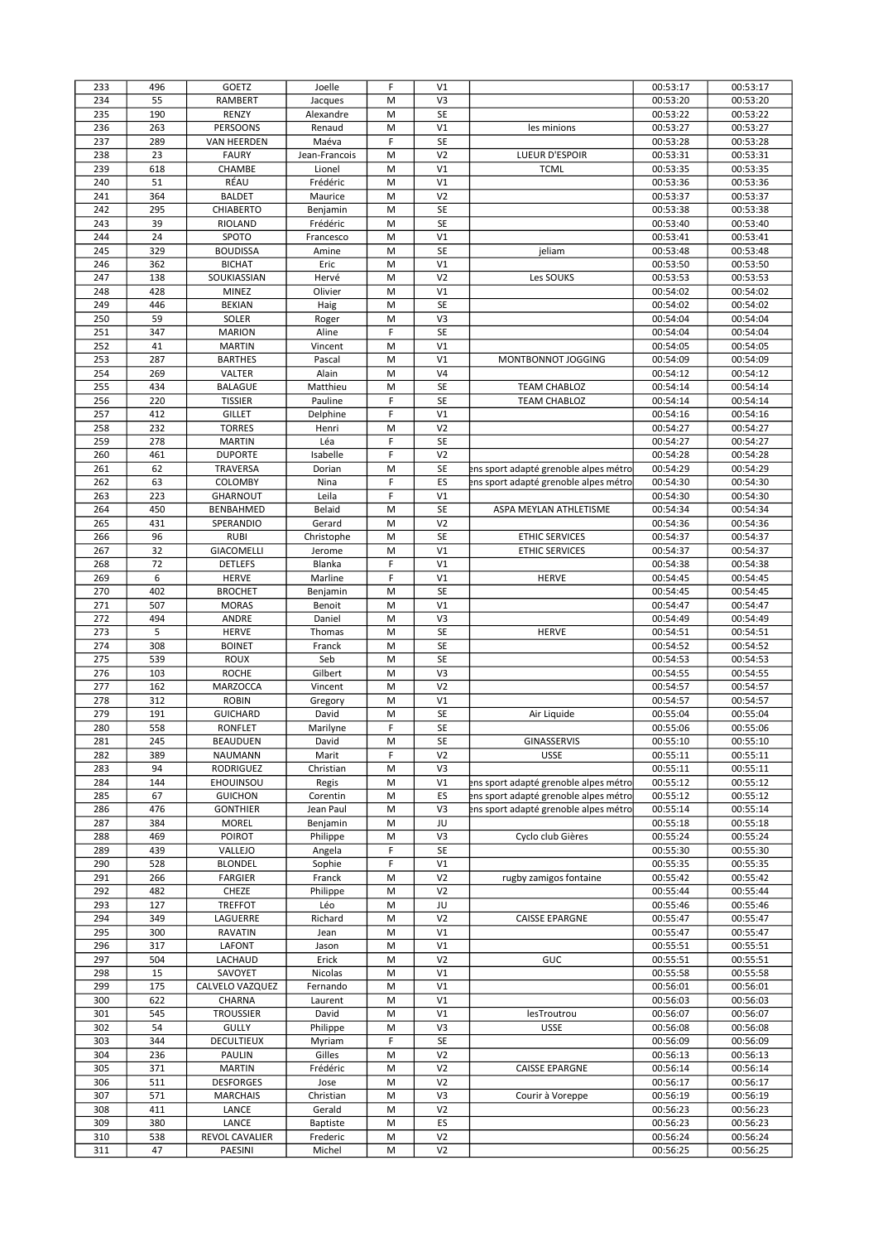| 233 | 496 | GOETZ             | Joelle          | F | V <sub>1</sub> |                                       | 00:53:17 | 00:53:17 |
|-----|-----|-------------------|-----------------|---|----------------|---------------------------------------|----------|----------|
| 234 | 55  | RAMBERT           | Jacques         | M | V3             |                                       | 00:53:20 | 00:53:20 |
| 235 | 190 | RENZY             | Alexandre       | M | SE             |                                       | 00:53:22 | 00:53:22 |
| 236 | 263 | PERSOONS          | Renaud          | M | V1             | les minions                           | 00:53:27 | 00:53:27 |
| 237 | 289 | VAN HEERDEN       | Maéva           | F | SE             |                                       | 00:53:28 | 00:53:28 |
| 238 | 23  | <b>FAURY</b>      | Jean-Francois   | M | V <sub>2</sub> | LUEUR D'ESPOIR                        | 00:53:31 | 00:53:31 |
| 239 | 618 | CHAMBE            | Lionel          | M | V <sub>1</sub> | <b>TCML</b>                           | 00:53:35 | 00:53:35 |
| 240 | 51  | RÉAU              | Frédéric        |   | V1             |                                       |          |          |
|     |     |                   |                 | M |                |                                       | 00:53:36 | 00:53:36 |
| 241 | 364 | <b>BALDET</b>     | Maurice         | M | V <sub>2</sub> |                                       | 00:53:37 | 00:53:37 |
| 242 | 295 | CHIABERTO         | Benjamin        | M | SE             |                                       | 00:53:38 | 00:53:38 |
| 243 | 39  | RIOLAND           | Frédéric        | M | SE             |                                       | 00:53:40 | 00:53:40 |
| 244 | 24  | SPOTO             | Francesco       | M | V1             |                                       | 00:53:41 | 00:53:41 |
| 245 | 329 | <b>BOUDISSA</b>   | Amine           | M | SE             | jeliam                                | 00:53:48 | 00:53:48 |
| 246 | 362 | <b>BICHAT</b>     | Eric            | M | V1             |                                       | 00:53:50 | 00:53:50 |
| 247 | 138 | SOUKIASSIAN       | Hervé           | M | V <sub>2</sub> | Les SOUKS                             | 00:53:53 | 00:53:53 |
| 248 | 428 | MINEZ             | Olivier         | M | V1             |                                       | 00:54:02 | 00:54:02 |
| 249 | 446 | <b>BEKIAN</b>     | Haig            | M | SE             |                                       | 00:54:02 | 00:54:02 |
| 250 | 59  | SOLER             | Roger           | M | V3             |                                       | 00:54:04 | 00:54:04 |
| 251 | 347 | <b>MARION</b>     | Aline           | F | <b>SE</b>      |                                       | 00:54:04 | 00:54:04 |
| 252 | 41  | <b>MARTIN</b>     | Vincent         | M | V1             |                                       | 00:54:05 | 00:54:05 |
|     |     |                   |                 |   |                |                                       |          |          |
| 253 | 287 | <b>BARTHES</b>    | Pascal          | M | V1             | MONTBONNOT JOGGING                    | 00:54:09 | 00:54:09 |
| 254 | 269 | VALTER            | Alain           | M | V <sub>4</sub> |                                       | 00:54:12 | 00:54:12 |
| 255 | 434 | <b>BALAGUE</b>    | Matthieu        | M | SE             | TEAM CHABLOZ                          | 00:54:14 | 00:54:14 |
| 256 | 220 | <b>TISSIER</b>    | Pauline         | F | SE             | <b>TEAM CHABLOZ</b>                   | 00:54:14 | 00:54:14 |
| 257 | 412 | <b>GILLET</b>     | Delphine        | F | V <sub>1</sub> |                                       | 00:54:16 | 00:54:16 |
| 258 | 232 | <b>TORRES</b>     | Henri           | M | V <sub>2</sub> |                                       | 00:54:27 | 00:54:27 |
| 259 | 278 | <b>MARTIN</b>     | Léa             | F | SE             |                                       | 00:54:27 | 00:54:27 |
| 260 | 461 | <b>DUPORTE</b>    | Isabelle        | F | V <sub>2</sub> |                                       | 00:54:28 | 00:54:28 |
| 261 | 62  | TRAVERSA          | Dorian          | M | SE             | ens sport adapté grenoble alpes métro | 00:54:29 | 00:54:29 |
| 262 | 63  | COLOMBY           | Nina            | F | ES             | ens sport adapté grenoble alpes métro | 00:54:30 | 00:54:30 |
| 263 | 223 | GHARNOUT          | Leila           | F | V1             |                                       | 00:54:30 | 00:54:30 |
| 264 | 450 | BENBAHMED         | Belaid          | M | SE             | ASPA MEYLAN ATHLETISME                | 00:54:34 | 00:54:34 |
| 265 | 431 | SPERANDIO         | Gerard          | M | V <sub>2</sub> |                                       |          |          |
|     |     |                   |                 |   |                |                                       | 00:54:36 | 00:54:36 |
| 266 | 96  | <b>RUBI</b>       | Christophe      | M | SE             | <b>ETHIC SERVICES</b>                 | 00:54:37 | 00:54:37 |
| 267 | 32  | <b>GIACOMELLI</b> | Jerome          | M | V1             | <b>ETHIC SERVICES</b>                 | 00:54:37 | 00:54:37 |
| 268 | 72  | <b>DETLEFS</b>    | Blanka          | F | V1             |                                       | 00:54:38 | 00:54:38 |
| 269 | 6   | <b>HERVE</b>      | Marline         | F | V1             | <b>HERVE</b>                          | 00:54:45 | 00:54:45 |
| 270 | 402 | <b>BROCHET</b>    | Benjamin        | M | SE             |                                       | 00:54:45 | 00:54:45 |
| 271 | 507 | <b>MORAS</b>      | Benoit          | M | V1             |                                       | 00:54:47 | 00:54:47 |
| 272 | 494 | ANDRE             | Daniel          | M | V3             |                                       | 00:54:49 | 00:54:49 |
| 273 | 5   | <b>HERVE</b>      | Thomas          | M | SE             | <b>HERVE</b>                          | 00:54:51 | 00:54:51 |
| 274 | 308 | <b>BOINET</b>     | Franck          | M | SE             |                                       | 00:54:52 | 00:54:52 |
| 275 | 539 | <b>ROUX</b>       | Seb             | M | SE             |                                       | 00:54:53 | 00:54:53 |
| 276 | 103 | <b>ROCHE</b>      | Gilbert         | M | V3             |                                       | 00:54:55 | 00:54:55 |
| 277 | 162 | MARZOCCA          | Vincent         | M | V <sub>2</sub> |                                       | 00:54:57 | 00:54:57 |
|     |     |                   |                 | M |                |                                       |          |          |
| 278 | 312 | <b>ROBIN</b>      | Gregory         |   | V1             |                                       | 00:54:57 | 00:54:57 |
| 279 | 191 | <b>GUICHARD</b>   | David           | M | SE             | Air Liquide                           | 00:55:04 | 00:55:04 |
| 280 | 558 | <b>RONFLET</b>    | Marilyne        | F | SE             |                                       | 00:55:06 | 00:55:06 |
| 281 | 245 | BEAUDUEN          | David           | M | SE             | GINASSERVIS                           | 00:55:10 | 00:55:10 |
| 282 | 389 | NAUMANN           | Marit           | F | V <sub>2</sub> | <b>USSE</b>                           | 00:55:11 | 00:55:11 |
| 283 | 94  | RODRIGUEZ         | Christian       | M | V3             |                                       | 00:55:11 | 00:55:11 |
| 284 | 144 | <b>EHOUINSOU</b>  | Regis           | M | V1             | ens sport adapté grenoble alpes métro | 00:55:12 | 00:55:12 |
| 285 | 67  | <b>GUICHON</b>    | Corentin        | M | ES             | ens sport adapté grenoble alpes métro | 00:55:12 | 00:55:12 |
| 286 | 476 | <b>GONTHIER</b>   | Jean Paul       | M | V3             | ens sport adapté grenoble alpes métro | 00:55:14 | 00:55:14 |
| 287 | 384 | MOREL             | Benjamin        | Μ | JU             |                                       | 00:55:18 | 00:55:18 |
| 288 | 469 | <b>POIROT</b>     | Philippe        | Μ | V3             | Cyclo club Gières                     | 00:55:24 | 00:55:24 |
| 289 | 439 | VALLEJO           | Angela          | F | SE             |                                       | 00:55:30 | 00:55:30 |
| 290 | 528 | <b>BLONDEL</b>    | Sophie          | F | V1             |                                       | 00:55:35 | 00:55:35 |
| 291 | 266 |                   | Franck          | M | V <sub>2</sub> |                                       | 00:55:42 | 00:55:42 |
| 292 | 482 | <b>FARGIER</b>    |                 |   | V <sub>2</sub> | rugby zamigos fontaine                |          |          |
|     |     | CHEZE             | Philippe        | М |                |                                       | 00:55:44 | 00:55:44 |
| 293 | 127 | <b>TREFFOT</b>    | Léo             | М | JU             |                                       | 00:55:46 | 00:55:46 |
| 294 | 349 | LAGUERRE          | Richard         | M | V <sub>2</sub> | <b>CAISSE EPARGNE</b>                 | 00:55:47 | 00:55:47 |
| 295 | 300 | RAVATIN           | Jean            | M | V1             |                                       | 00:55:47 | 00:55:47 |
| 296 | 317 | LAFONT            | Jason           | M | V1             |                                       | 00:55:51 | 00:55:51 |
| 297 | 504 | LACHAUD           | Erick           | M | V <sub>2</sub> | GUC                                   | 00:55:51 | 00:55:51 |
| 298 | 15  | SAVOYET           | Nicolas         | M | V1             |                                       | 00:55:58 | 00:55:58 |
| 299 | 175 | CALVELO VAZQUEZ   | Fernando        | M | V1             |                                       | 00:56:01 | 00:56:01 |
| 300 | 622 | CHARNA            | Laurent         | Μ | V1             |                                       | 00:56:03 | 00:56:03 |
| 301 | 545 | <b>TROUSSIER</b>  | David           | M | V1             | lesTroutrou                           | 00:56:07 | 00:56:07 |
| 302 | 54  | <b>GULLY</b>      | Philippe        | М | V3             | <b>USSE</b>                           | 00:56:08 | 00:56:08 |
| 303 | 344 | DECULTIEUX        | Myriam          | F | SE             |                                       | 00:56:09 | 00:56:09 |
|     |     |                   |                 |   |                |                                       |          |          |
| 304 | 236 | PAULIN            | Gilles          | M | V <sub>2</sub> |                                       | 00:56:13 | 00:56:13 |
| 305 | 371 | <b>MARTIN</b>     | Frédéric        | M | V <sub>2</sub> | <b>CAISSE EPARGNE</b>                 | 00:56:14 | 00:56:14 |
| 306 | 511 | <b>DESFORGES</b>  | Jose            | М | V <sub>2</sub> |                                       | 00:56:17 | 00:56:17 |
| 307 | 571 | <b>MARCHAIS</b>   | Christian       | M | V3             | Courir à Voreppe                      | 00:56:19 | 00:56:19 |
| 308 | 411 | LANCE             | Gerald          | M | V <sub>2</sub> |                                       | 00:56:23 | 00:56:23 |
| 309 | 380 | LANCE             | <b>Baptiste</b> | M | ES             |                                       | 00:56:23 | 00:56:23 |
| 310 | 538 | REVOL CAVALIER    | Frederic        | Μ | V <sub>2</sub> |                                       | 00:56:24 | 00:56:24 |
| 311 | 47  | PAESINI           | Michel          | Μ | V <sub>2</sub> |                                       | 00:56:25 | 00:56:25 |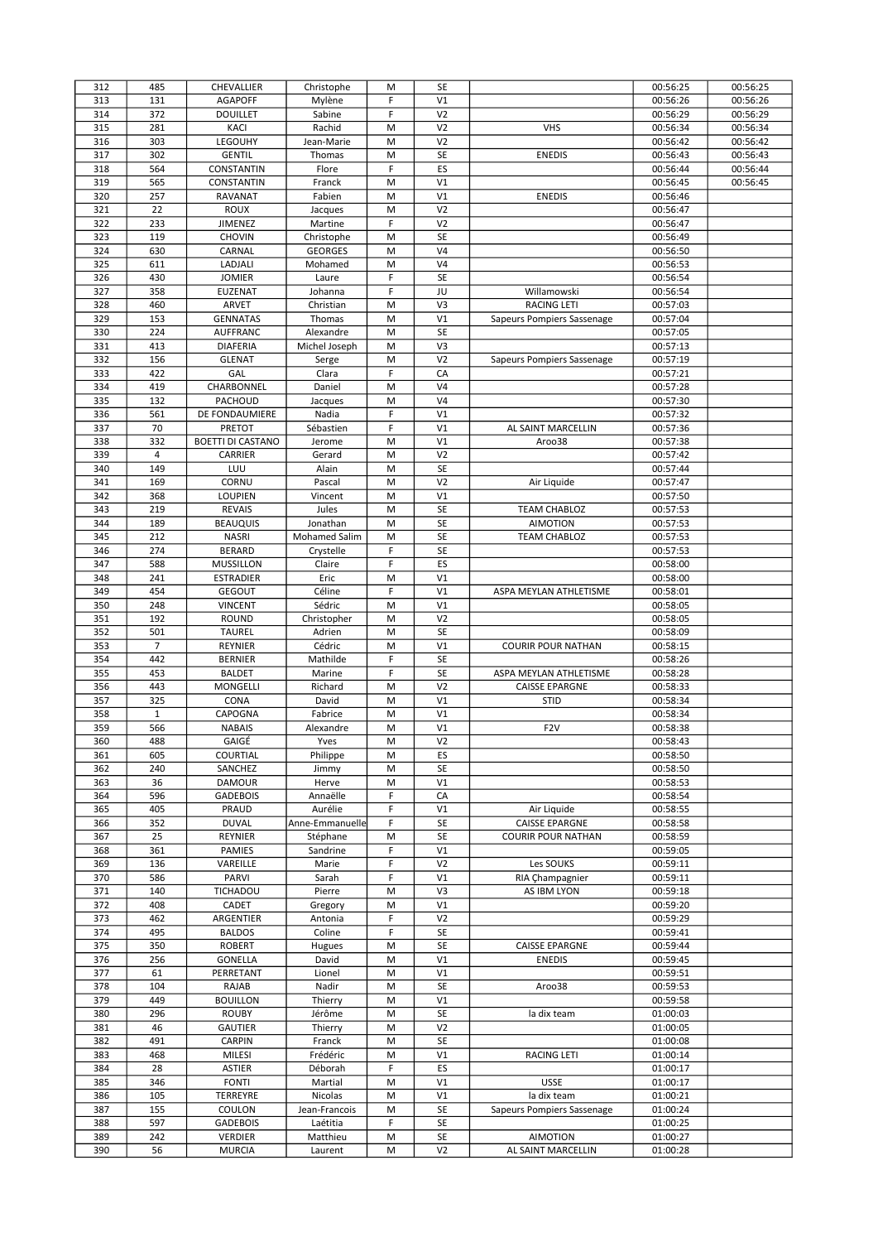| 312        | 485            | CHEVALLIER                      | Christophe           | M              | SE                   |                                       | 00:56:25             | 00:56:25 |
|------------|----------------|---------------------------------|----------------------|----------------|----------------------|---------------------------------------|----------------------|----------|
|            |                |                                 |                      |                |                      |                                       |                      |          |
| 313        | 131            | <b>AGAPOFF</b>                  | Mylène               | F              | V1                   |                                       | 00:56:26             | 00:56:26 |
| 314        | 372            | <b>DOUILLET</b>                 | Sabine               | F              | V <sub>2</sub>       |                                       | 00:56:29             | 00:56:29 |
| 315        | 281            | KACI                            | Rachid               | M              | V <sub>2</sub>       | <b>VHS</b>                            | 00:56:34             | 00:56:34 |
|            |                |                                 |                      |                |                      |                                       |                      |          |
| 316        | 303            | LEGOUHY                         | Jean-Marie           | M              | V <sub>2</sub>       |                                       | 00:56:42             | 00:56:42 |
| 317        | 302            | <b>GENTIL</b>                   | Thomas               | M              | SE                   | <b>ENEDIS</b>                         | 00:56:43             | 00:56:43 |
| 318        | 564            | CONSTANTIN                      | Flore                | F              | ES                   |                                       | 00:56:44             | 00:56:44 |
| 319        | 565            | CONSTANTIN                      | Franck               | M              | V1                   |                                       | 00:56:45             | 00:56:45 |
|            |                |                                 |                      |                |                      |                                       |                      |          |
| 320        | 257            | RAVANAT                         | Fabien               | M              | V1                   | <b>ENEDIS</b>                         | 00:56:46             |          |
| 321        | 22             | <b>ROUX</b>                     | Jacques              | M              | V <sub>2</sub>       |                                       | 00:56:47             |          |
| 322        | 233            | <b>JIMENEZ</b>                  | Martine              | F              | V <sub>2</sub>       |                                       | 00:56:47             |          |
|            |                |                                 |                      |                |                      |                                       |                      |          |
| 323        | 119            | <b>CHOVIN</b>                   | Christophe           | M              | SE                   |                                       | 00:56:49             |          |
| 324        | 630            | CARNAL                          | <b>GEORGES</b>       | M              | V <sub>4</sub>       |                                       | 00:56:50             |          |
| 325        | 611            | LADJALI                         | Mohamed              | M              | V <sub>4</sub>       |                                       |                      |          |
|            |                |                                 |                      |                |                      |                                       | 00:56:53             |          |
| 326        | 430            | <b>JOMIER</b>                   | Laure                | F              | SE                   |                                       | 00:56:54             |          |
| 327        | 358            | <b>EUZENAT</b>                  | Johanna              | F              | JU                   | Willamowski                           | 00:56:54             |          |
|            |                | <b>ARVET</b>                    |                      |                | V3                   |                                       |                      |          |
| 328        | 460            |                                 | Christian            | M              |                      | <b>RACING LETI</b>                    | 00:57:03             |          |
| 329        | 153            | <b>GENNATAS</b>                 | Thomas               | M              | V1                   | Sapeurs Pompiers Sassenage            | 00:57:04             |          |
| 330        | 224            | <b>AUFFRANC</b>                 | Alexandre            | M              | SE                   |                                       | 00:57:05             |          |
| 331        | 413            |                                 |                      | M              | V3                   |                                       | 00:57:13             |          |
|            |                | <b>DIAFERIA</b>                 | Michel Joseph        |                |                      |                                       |                      |          |
| 332        | 156            | <b>GLENAT</b>                   | Serge                | M              | V <sub>2</sub>       | Sapeurs Pompiers Sassenage            | 00:57:19             |          |
| 333        | 422            | GAL                             | Clara                | F              | CA                   |                                       | 00:57:21             |          |
|            |                |                                 |                      |                |                      |                                       |                      |          |
| 334        | 419            | CHARBONNEL                      | Daniel               | M              | V <sub>4</sub>       |                                       | 00:57:28             |          |
| 335        | 132            | <b>PACHOUD</b>                  | Jacques              | M              | V <sub>4</sub>       |                                       | 00:57:30             |          |
| 336        | 561            | DE FONDAUMIERE                  | Nadia                | F              | V1                   |                                       | 00:57:32             |          |
|            |                |                                 |                      |                |                      |                                       |                      |          |
| 337        | 70             | PRETOT                          | Sébastien            | F              | V1                   | AL SAINT MARCELLIN                    | 00:57:36             |          |
| 338        | 332            | <b>BOETTI DI CASTANO</b>        | Jerome               | M              | V1                   | Aroo38                                | 00:57:38             |          |
| 339        | $\sqrt{4}$     | CARRIER                         | Gerard               | M              | V <sub>2</sub>       |                                       | 00:57:42             |          |
|            |                |                                 |                      |                |                      |                                       |                      |          |
| 340        | 149            | LUU                             | Alain                | M              | SE                   |                                       | 00:57:44             |          |
| 341        | 169            | CORNU                           | Pascal               | M              | V <sub>2</sub>       | Air Liquide                           | 00:57:47             |          |
| 342        | 368            | <b>LOUPIEN</b>                  | Vincent              | M              | V1                   |                                       | 00:57:50             |          |
|            |                |                                 |                      |                |                      |                                       |                      |          |
| 343        | 219            | <b>REVAIS</b>                   | Jules                | M              | SE                   | <b>TEAM CHABLOZ</b>                   | 00:57:53             |          |
| 344        | 189            | <b>BEAUQUIS</b>                 | Jonathan             | M              | SE                   | <b>AIMOTION</b>                       | 00:57:53             |          |
| 345        | 212            | <b>NASRI</b>                    | <b>Mohamed Salim</b> | M              | SE                   | <b>TEAM CHABLOZ</b>                   | 00:57:53             |          |
|            |                |                                 |                      |                |                      |                                       |                      |          |
| 346        | 274            | <b>BERARD</b>                   | Crystelle            | F              | SE                   |                                       | 00:57:53             |          |
| 347        | 588            | <b>MUSSILLON</b>                | Claire               | F              | ES                   |                                       | 00:58:00             |          |
|            |                |                                 |                      |                |                      |                                       |                      |          |
| 348        | 241            | <b>ESTRADIER</b>                | Eric                 | M              | V1                   |                                       | 00:58:00             |          |
| 349        | 454            | <b>GEGOUT</b>                   | Céline               | F              | V1                   | ASPA MEYLAN ATHLETISME                | 00:58:01             |          |
| 350        | 248            | <b>VINCENT</b>                  | Sédric               | M              | V1                   |                                       | 00:58:05             |          |
|            |                |                                 |                      |                |                      |                                       |                      |          |
| 351        | 192            | <b>ROUND</b>                    | Christopher          | M              | V <sub>2</sub>       |                                       | 00:58:05             |          |
| 352        | 501            | <b>TAUREL</b>                   | Adrien               | M              | SE                   |                                       | 00:58:09             |          |
| 353        | $\overline{7}$ | <b>REYNIER</b>                  | Cédric               | M              | V1                   | <b>COURIR POUR NATHAN</b>             | 00:58:15             |          |
|            |                |                                 | Mathilde             |                |                      |                                       |                      |          |
| 354        | 442            | <b>BERNIER</b>                  |                      | F              | SE                   |                                       | 00:58:26             |          |
| 355        | 453            | <b>BALDET</b>                   | Marine               | F              | SE                   | ASPA MEYLAN ATHLETISME                | 00:58:28             |          |
| 356        | 443            | <b>MONGELLI</b>                 | Richard              | M              | V <sub>2</sub>       | <b>CAISSE EPARGNE</b>                 | 00:58:33             |          |
|            |                |                                 |                      |                |                      |                                       |                      |          |
| 357        | 325            | CONA                            | David                | М              | V1                   | <b>STID</b>                           | 00:58:34             |          |
| 358        | $\mathbf{1}$   | CAPOGNA                         | Fabrice              | M              | V1                   |                                       | 00:58:34             |          |
| 359        | 566            | <b>NABAIS</b>                   | Alexandre            | M              | V1                   | F <sub>2V</sub>                       | 00:58:38             |          |
|            |                |                                 |                      |                |                      |                                       |                      |          |
| 360        | 488            | GAIGÉ                           | Yves                 | $\overline{M}$ | $\overline{V2}$      |                                       | 00:58:43             |          |
| 361        | 605            | <b>COURTIAL</b>                 | Philippe             | M              | ES                   |                                       | 00:58:50             |          |
| 362        | 240            | SANCHEZ                         | Jimmy                | M              | SE                   |                                       | 00:58:50             |          |
|            |                |                                 |                      |                |                      |                                       |                      |          |
| 363        | 36             | DAMOUR                          | Herve                | M              | V1                   |                                       | 00:58:53             |          |
| 364        | 596            | <b>GADEBOIS</b>                 | Annaëlle             | F              | CA                   |                                       | 00:58:54             |          |
| 365        | 405            | PRAUD                           | Aurélie              | F              | V1                   | Air Liquide                           | 00:58:55             |          |
|            |                |                                 |                      |                |                      |                                       |                      |          |
| 366        | 352            | <b>DUVAL</b>                    | Anne-Emmanuelle      | F              | SE                   | <b>CAISSE EPARGNE</b>                 | 00:58:58             |          |
| 367        | 25             | <b>REYNIER</b>                  | Stéphane             | M              | SE                   | <b>COURIR POUR NATHAN</b>             | 00:58:59             |          |
| 368        | 361            | PAMIES                          | Sandrine             | F              | V1                   |                                       | 00:59:05             |          |
|            |                |                                 |                      |                |                      |                                       |                      |          |
| 369        | 136            | VAREILLE                        | Marie                | F              | V <sub>2</sub>       | Les SOUKS                             | 00:59:11             |          |
| 370        | 586            | PARVI                           | Sarah                | F              | V1                   | RIA Champagnier                       | 00:59:11             |          |
| 371        | 140            | TICHADOU                        | Pierre               | M              | V3                   | AS IBM LYON                           | 00:59:18             |          |
|            |                |                                 |                      |                |                      |                                       |                      |          |
| 372        | 408            | CADET                           | Gregory              | M              | V1                   |                                       | 00:59:20             |          |
| 373        | 462            | ARGENTIER                       | Antonia              | F              | V <sub>2</sub>       |                                       | 00:59:29             |          |
| 374        | 495            | <b>BALDOS</b>                   | Coline               | F              | SE                   |                                       | 00:59:41             |          |
|            |                |                                 |                      |                |                      |                                       |                      |          |
| 375        |                |                                 |                      | М              | SE                   | <b>CAISSE EPARGNE</b>                 | 00:59:44             |          |
| 376        | 350            | <b>ROBERT</b>                   | Hugues               |                |                      |                                       |                      |          |
| 377        | 256            | GONELLA                         | David                | M              | V1                   | <b>ENEDIS</b>                         | 00:59:45             |          |
|            |                |                                 |                      |                |                      |                                       |                      |          |
|            | 61             | PERRETANT                       | Lionel               | М              | V1                   |                                       | 00:59:51             |          |
| 378        | 104            | RAJAB                           | Nadir                | M              | SE                   | Aroo38                                | 00:59:53             |          |
| 379        | 449            | <b>BOUILLON</b>                 | Thierry              | М              | V1                   |                                       | 00:59:58             |          |
|            |                |                                 |                      |                |                      |                                       |                      |          |
| 380        | 296            | <b>ROUBY</b>                    | Jérôme               | M              | SE                   | la dix team                           | 01:00:03             |          |
| 381        | 46             | <b>GAUTIER</b>                  | Thierry              | M              | V <sub>2</sub>       |                                       | 01:00:05             |          |
| 382        | 491            | <b>CARPIN</b>                   | Franck               | М              | SE                   |                                       | 01:00:08             |          |
|            |                |                                 |                      |                |                      |                                       |                      |          |
| 383        | 468            | <b>MILESI</b>                   | Frédéric             | M              | V1                   | <b>RACING LETI</b>                    | 01:00:14             |          |
| 384        | 28             | <b>ASTIER</b>                   | Déborah              | F              | ES                   |                                       | 01:00:17             |          |
| 385        | 346            | <b>FONTI</b>                    | Martial              | M              | V1                   | <b>USSE</b>                           | 01:00:17             |          |
|            |                |                                 |                      |                |                      |                                       |                      |          |
| 386        | 105            | TERREYRE                        | <b>Nicolas</b>       | M              | V1                   | la dix team                           | 01:00:21             |          |
| 387        | 155            | COULON                          | Jean-Francois        | M              | SE                   | Sapeurs Pompiers Sassenage            | 01:00:24             |          |
|            |                |                                 |                      |                |                      |                                       |                      |          |
| 388        | 597            | <b>GADEBOIS</b>                 | Laétitia             | F              | SE                   |                                       | 01:00:25             |          |
| 389<br>390 | 242<br>56      | <b>VERDIER</b><br><b>MURCIA</b> | Matthieu<br>Laurent  | M<br>M         | SE<br>V <sub>2</sub> | <b>AIMOTION</b><br>AL SAINT MARCELLIN | 01:00:27<br>01:00:28 |          |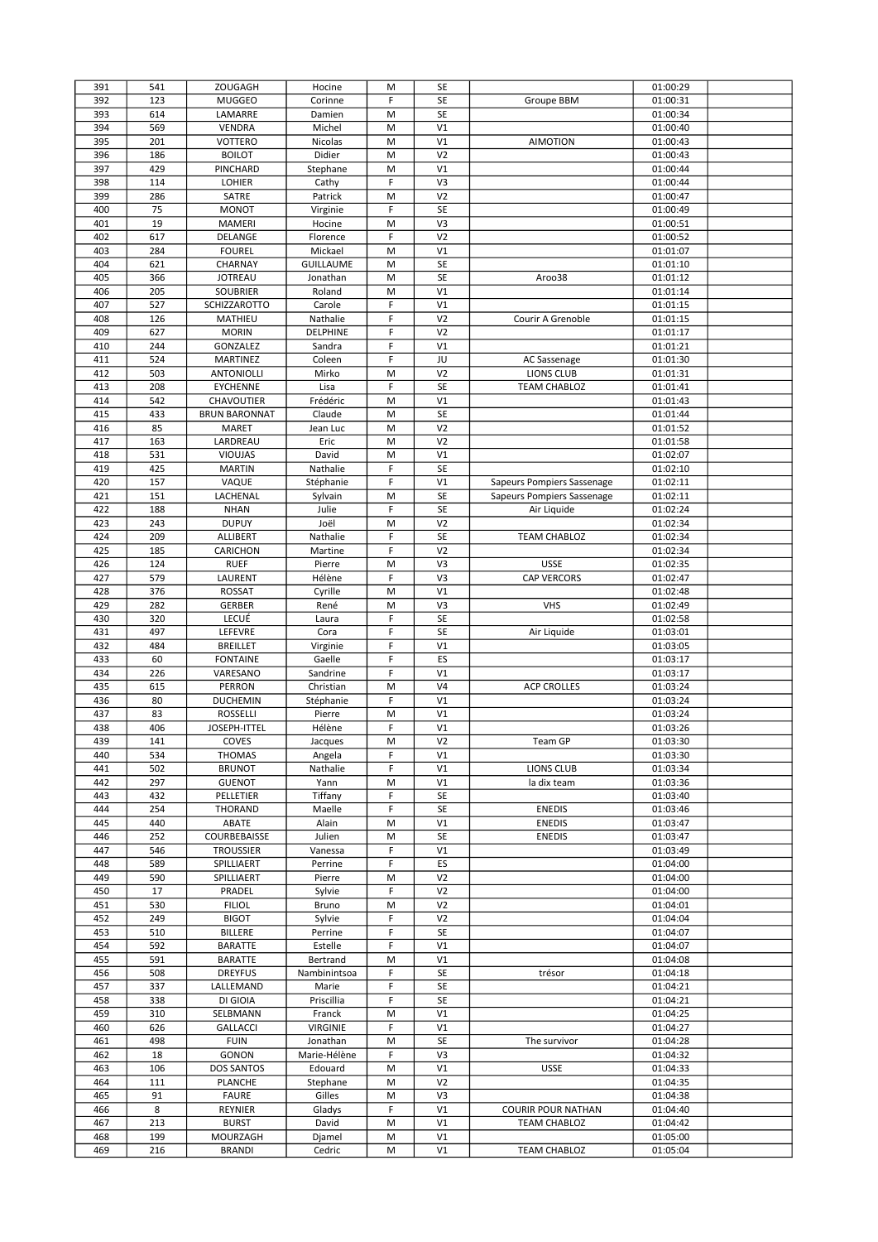| 391 | 541              | ZOUGAGH              | Hocine           | M | SE             |                            | 01:00:29 |  |
|-----|------------------|----------------------|------------------|---|----------------|----------------------------|----------|--|
|     |                  |                      |                  |   |                |                            |          |  |
| 392 | 123              | <b>MUGGEO</b>        | Corinne          | F | SE             | Groupe BBM                 | 01:00:31 |  |
| 393 | 614              | LAMARRE              | Damien           | M | SE             |                            | 01:00:34 |  |
| 394 | 569              | VENDRA               | Michel           | M | V1             |                            | 01:00:40 |  |
| 395 | 201              | <b>VOTTERO</b>       | Nicolas          | M | V1             | <b>AIMOTION</b>            | 01:00:43 |  |
|     |                  |                      |                  |   |                |                            |          |  |
| 396 | 186              | <b>BOILOT</b>        | Didier           | M | V <sub>2</sub> |                            | 01:00:43 |  |
| 397 | 429              | PINCHARD             | Stephane         | М | V1             |                            | 01:00:44 |  |
| 398 | 114              | <b>LOHIER</b>        | Cathy            | F | V3             |                            | 01:00:44 |  |
|     |                  |                      |                  |   |                |                            |          |  |
| 399 | 286              | SATRE                | Patrick          | M | V <sub>2</sub> |                            | 01:00:47 |  |
| 400 | 75               | <b>MONOT</b>         | Virginie         | F | SE             |                            | 01:00:49 |  |
| 401 | 19               | <b>MAMERI</b>        | Hocine           | M | V3             |                            | 01:00:51 |  |
| 402 | 617              | DELANGE              | Florence         | F | V <sub>2</sub> |                            | 01:00:52 |  |
|     |                  |                      |                  |   |                |                            |          |  |
| 403 | 284              | <b>FOUREL</b>        | Mickael          | М | V1             |                            | 01:01:07 |  |
| 404 | 621              | CHARNAY              | <b>GUILLAUME</b> | M | SE             |                            | 01:01:10 |  |
| 405 | 366              | <b>JOTREAU</b>       | Jonathan         | M | SE             | Aroo38                     | 01:01:12 |  |
|     |                  |                      |                  |   |                |                            |          |  |
| 406 | 205              | SOUBRIER             | Roland           | M | V1             |                            | 01:01:14 |  |
| 407 | 527              | SCHIZZAROTTO         | Carole           | F | V1             |                            | 01:01:15 |  |
| 408 | 126              | MATHIEU              | Nathalie         | F | V <sub>2</sub> | Courir A Grenoble          | 01:01:15 |  |
| 409 | 627              | <b>MORIN</b>         | DELPHINE         | F | V <sub>2</sub> |                            | 01:01:17 |  |
|     |                  |                      |                  |   |                |                            |          |  |
| 410 | 244              | GONZALEZ             | Sandra           | F | V1             |                            | 01:01:21 |  |
| 411 | 524              | MARTINEZ             | Coleen           | F | JU             | AC Sassenage               | 01:01:30 |  |
| 412 | 503              | <b>ANTONIOLLI</b>    | Mirko            | M | V <sub>2</sub> | LIONS CLUB                 | 01:01:31 |  |
|     |                  |                      |                  | F |                |                            |          |  |
| 413 | 208              | <b>EYCHENNE</b>      | Lisa             |   | SE             | <b>TEAM CHABLOZ</b>        | 01:01:41 |  |
| 414 | 542              | CHAVOUTIER           | Frédéric         | M | V1             |                            | 01:01:43 |  |
| 415 | 433              | <b>BRUN BARONNAT</b> | Claude           | M | SE             |                            | 01:01:44 |  |
| 416 | 85               | <b>MARET</b>         | Jean Luc         | M | V <sub>2</sub> |                            | 01:01:52 |  |
|     |                  |                      |                  |   |                |                            |          |  |
| 417 | 163              | LARDREAU             | Eric             | M | V <sub>2</sub> |                            | 01:01:58 |  |
| 418 | 531              | <b>VIOUJAS</b>       | David            | M | V1             |                            | 01:02:07 |  |
| 419 | 425              | <b>MARTIN</b>        | Nathalie         | F | SE             |                            | 01:02:10 |  |
| 420 | 157              |                      |                  | F | V1             |                            |          |  |
|     |                  | VAQUE                | Stéphanie        |   |                | Sapeurs Pompiers Sassenage | 01:02:11 |  |
| 421 | 151              | LACHENAL             | Sylvain          | M | SE             | Sapeurs Pompiers Sassenage | 01:02:11 |  |
| 422 | 188              | <b>NHAN</b>          | Julie            | F | SE             | Air Liquide                | 01:02:24 |  |
| 423 | 243              | <b>DUPUY</b>         | Joël             | M | V <sub>2</sub> |                            | 01:02:34 |  |
|     |                  |                      |                  |   |                |                            |          |  |
| 424 | 209              | ALLIBERT             | Nathalie         | F | SE             | TEAM CHABLOZ               | 01:02:34 |  |
| 425 | 185              | CARICHON             | Martine          | F | V <sub>2</sub> |                            | 01:02:34 |  |
| 426 | 124              | <b>RUEF</b>          | Pierre           | M | V3             | <b>USSE</b>                | 01:02:35 |  |
|     |                  |                      |                  |   |                |                            |          |  |
| 427 | 579              | LAURENT              | Hélène           | F | V3             | <b>CAP VERCORS</b>         | 01:02:47 |  |
| 428 | 376              | <b>ROSSAT</b>        | Cyrille          | M | V1             |                            | 01:02:48 |  |
| 429 | 282              | <b>GERBER</b>        | René             | M | V3             | VHS                        | 01:02:49 |  |
| 430 | 320              | LECUÉ                | Laura            | F | SE             |                            | 01:02:58 |  |
|     |                  |                      |                  |   |                |                            |          |  |
| 431 | 497              | LEFEVRE              | Cora             | F | SE             | Air Liquide                | 01:03:01 |  |
| 432 | 484              | <b>BREILLET</b>      | Virginie         | F | V1             |                            | 01:03:05 |  |
| 433 | 60               | <b>FONTAINE</b>      | Gaelle           | F | ES             |                            | 01:03:17 |  |
|     |                  |                      |                  |   |                |                            |          |  |
| 434 | 226              | VARESANO             | Sandrine         | F | V1             |                            | 01:03:17 |  |
| 435 | 615              | <b>PERRON</b>        | Christian        | M | V <sub>4</sub> | <b>ACP CROLLES</b>         | 01:03:24 |  |
| 436 | 80               | <b>DUCHEMIN</b>      | Stéphanie        | F | V1             |                            | 01:03:24 |  |
| 437 | 83               |                      | Pierre           |   | V1             |                            | 01:03:24 |  |
|     |                  | <b>ROSSELLI</b>      |                  | M |                |                            |          |  |
| 438 | 406              | JOSEPH-ITTEL         | Hélène           | F | V1             |                            | 01:03:26 |  |
| 439 | $\overline{141}$ | COVES                | Jacques          | M | $\overline{v}$ | Team GP                    | 01:03:30 |  |
| 440 | 534              | <b>THOMAS</b>        |                  | F | V1             |                            | 01:03:30 |  |
|     |                  |                      | Angela           |   |                |                            |          |  |
| 441 | 502              | <b>BRUNOT</b>        | Nathalie         | F | V1             | LIONS CLUB                 | 01:03:34 |  |
| 442 | 297              | <b>GUENOT</b>        | Yann             | M | V1             | la dix team                | 01:03:36 |  |
| 443 | 432              | PELLETIER            | Tiffany          | F | SE             |                            | 01:03:40 |  |
|     |                  |                      |                  |   |                | <b>ENEDIS</b>              |          |  |
| 444 | 254              | THORAND              | Maelle           | F | SE             |                            | 01:03:46 |  |
| 445 | 440              | ABATE                | Alain            | М | V1             | <b>ENEDIS</b>              | 01:03:47 |  |
| 446 | 252              | COURBEBAISSE         | Julien           | M | SE             | <b>ENEDIS</b>              | 01:03:47 |  |
| 447 | 546              | <b>TROUSSIER</b>     | Vanessa          | F | V1             |                            | 01:03:49 |  |
|     |                  |                      |                  |   |                |                            |          |  |
| 448 | 589              | SPILLIAERT           | Perrine          | F | ES             |                            | 01:04:00 |  |
| 449 | 590              | SPILLIAERT           | Pierre           | M | V <sub>2</sub> |                            | 01:04:00 |  |
| 450 | 17               | PRADEL               | Sylvie           | F | V <sub>2</sub> |                            | 01:04:00 |  |
|     |                  |                      |                  |   |                |                            | 01:04:01 |  |
| 451 | 530              | <b>FILIOL</b>        | Bruno            | Μ | V <sub>2</sub> |                            |          |  |
| 452 | 249              | <b>BIGOT</b>         | Sylvie           | F | V <sub>2</sub> |                            | 01:04:04 |  |
| 453 | 510              | <b>BILLERE</b>       | Perrine          | F | SE             |                            | 01:04:07 |  |
| 454 | 592              | <b>BARATTE</b>       | Estelle          | F | V1             |                            | 01:04:07 |  |
|     |                  |                      |                  |   |                |                            |          |  |
| 455 | 591              | <b>BARATTE</b>       | Bertrand         | M | V1             |                            | 01:04:08 |  |
| 456 | 508              | <b>DREYFUS</b>       | Nambinintsoa     | F | SE             | trésor                     | 01:04:18 |  |
| 457 | 337              | LALLEMAND            | Marie            | F | SE             |                            | 01:04:21 |  |
| 458 | 338              | DI GIOIA             | Priscillia       | F | SE             |                            | 01:04:21 |  |
|     |                  |                      |                  |   |                |                            |          |  |
| 459 | 310              | SELBMANN             | Franck           | M | V1             |                            | 01:04:25 |  |
| 460 | 626              | <b>GALLACCI</b>      | <b>VIRGINIE</b>  | F | V1             |                            | 01:04:27 |  |
| 461 | 498              | <b>FUIN</b>          | Jonathan         | M | SE             | The survivor               | 01:04:28 |  |
|     |                  |                      |                  |   |                |                            |          |  |
| 462 | 18               | GONON                | Marie-Hélène     | F | V3             |                            | 01:04:32 |  |
| 463 | 106              | DOS SANTOS           | Edouard          | M | V1             | <b>USSE</b>                | 01:04:33 |  |
| 464 | 111              | <b>PLANCHE</b>       | Stephane         | M | V <sub>2</sub> |                            | 01:04:35 |  |
| 465 | 91               | <b>FAURE</b>         | Gilles           | M | V3             |                            | 01:04:38 |  |
|     |                  |                      |                  |   |                |                            |          |  |
| 466 | 8                | REYNIER              | Gladys           | F | V1             | <b>COURIR POUR NATHAN</b>  | 01:04:40 |  |
| 467 | 213              | <b>BURST</b>         | David            | М | V1             | <b>TEAM CHABLOZ</b>        | 01:04:42 |  |
| 468 | 199              | MOURZAGH             | Djamel           | M | V1             |                            | 01:05:00 |  |
|     |                  |                      |                  |   |                |                            |          |  |
| 469 | 216              | <b>BRANDI</b>        | Cedric           | M | V1             | <b>TEAM CHABLOZ</b>        | 01:05:04 |  |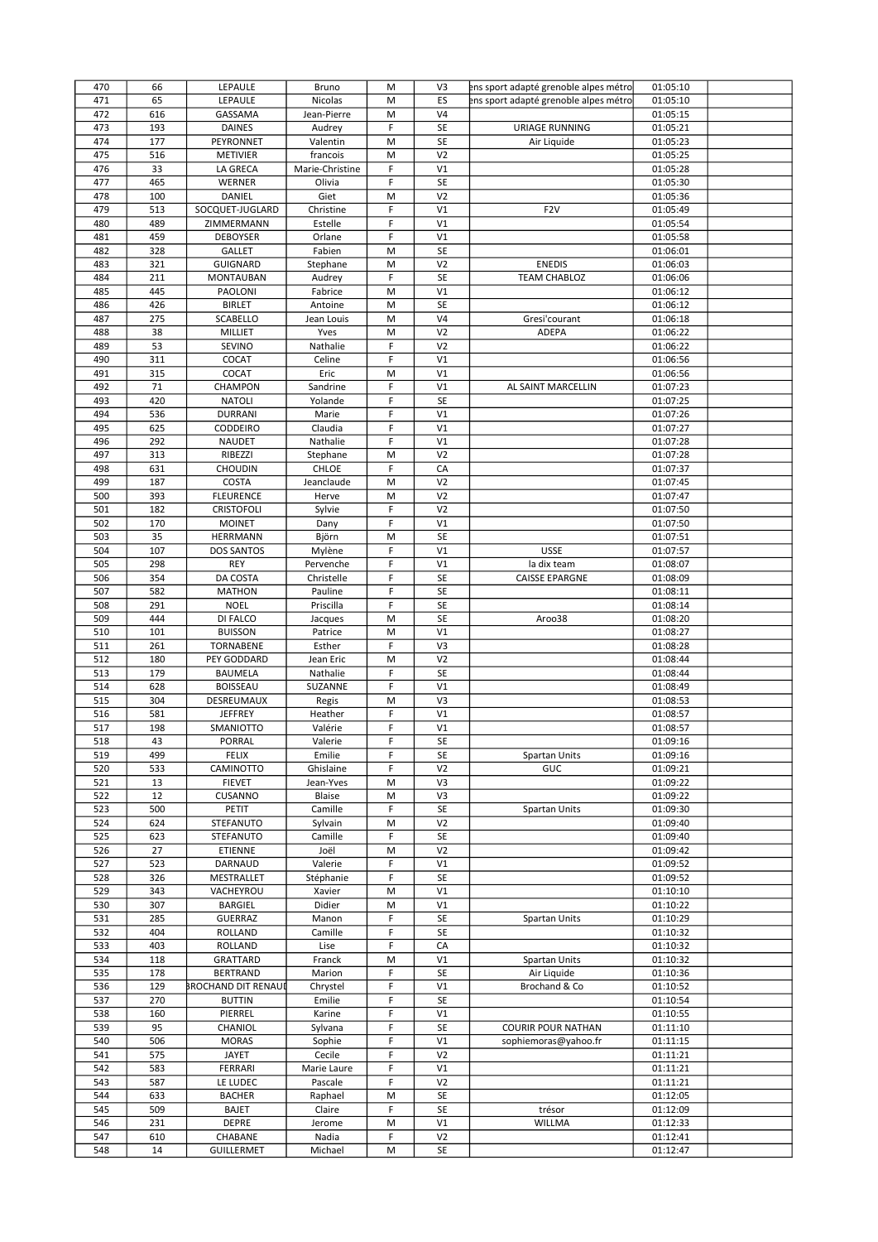| 470 | 66  | LEPAULE                    | Bruno           | M | V3             | ens sport adapté grenoble alpes métro | 01:05:10 |  |
|-----|-----|----------------------------|-----------------|---|----------------|---------------------------------------|----------|--|
| 471 | 65  | LEPAULE                    |                 |   | ES             |                                       |          |  |
|     |     |                            | Nicolas         | M |                | ens sport adapté grenoble alpes métro | 01:05:10 |  |
| 472 | 616 | GASSAMA                    | Jean-Pierre     | M | V <sub>4</sub> |                                       | 01:05:15 |  |
| 473 | 193 | <b>DAINES</b>              | Audrey          | F | SE             | URIAGE RUNNING                        | 01:05:21 |  |
| 474 | 177 | PEYRONNET                  | Valentin        | M | SE             | Air Liquide                           | 01:05:23 |  |
|     |     |                            |                 |   |                |                                       |          |  |
| 475 | 516 | <b>METIVIER</b>            | francois        | M | V <sub>2</sub> |                                       | 01:05:25 |  |
| 476 | 33  | LA GRECA                   | Marie-Christine | F | V1             |                                       | 01:05:28 |  |
| 477 | 465 | WERNER                     | Olivia          | F | SE             |                                       | 01:05:30 |  |
|     |     |                            |                 |   |                |                                       |          |  |
| 478 | 100 | DANIEL                     | Giet            | M | V <sub>2</sub> |                                       | 01:05:36 |  |
| 479 | 513 | SOCQUET-JUGLARD            | Christine       | F | V <sub>1</sub> | F <sub>2</sub> V                      | 01:05:49 |  |
| 480 | 489 | ZIMMERMANN                 | Estelle         | F | V1             |                                       | 01:05:54 |  |
| 481 | 459 | <b>DEBOYSER</b>            | Orlane          | F | V1             |                                       | 01:05:58 |  |
|     |     |                            |                 |   |                |                                       |          |  |
| 482 | 328 | GALLET                     | Fabien          | М | SE             |                                       | 01:06:01 |  |
| 483 | 321 | <b>GUIGNARD</b>            | Stephane        | M | V <sub>2</sub> | <b>ENEDIS</b>                         | 01:06:03 |  |
| 484 | 211 | <b>MONTAUBAN</b>           | Audrey          | F | SE             | TEAM CHABLOZ                          | 01:06:06 |  |
|     |     |                            |                 |   |                |                                       |          |  |
| 485 | 445 | PAOLONI                    | Fabrice         | M | V1             |                                       | 01:06:12 |  |
| 486 | 426 | <b>BIRLET</b>              | Antoine         | M | SE             |                                       | 01:06:12 |  |
| 487 | 275 | SCABELLO                   | Jean Louis      | M | V <sub>4</sub> | Gresi'courant                         | 01:06:18 |  |
| 488 | 38  | MILLIET                    | Yves            | М | V <sub>2</sub> | ADEPA                                 | 01:06:22 |  |
|     |     |                            |                 |   |                |                                       |          |  |
| 489 | 53  | SEVINO                     | Nathalie        | F | V <sub>2</sub> |                                       | 01:06:22 |  |
| 490 | 311 | COCAT                      | Celine          | F | V1             |                                       | 01:06:56 |  |
| 491 | 315 | COCAT                      | Eric            | M | V <sub>1</sub> |                                       | 01:06:56 |  |
|     |     |                            |                 |   |                |                                       |          |  |
| 492 | 71  | CHAMPON                    | Sandrine        | F | V <sub>1</sub> | AL SAINT MARCELLIN                    | 01:07:23 |  |
| 493 | 420 | <b>NATOLI</b>              | Yolande         | F | SE             |                                       | 01:07:25 |  |
| 494 | 536 | <b>DURRANI</b>             | Marie           | F | V1             |                                       | 01:07:26 |  |
| 495 | 625 | CODDEIRO                   | Claudia         | F | V1             |                                       | 01:07:27 |  |
|     |     |                            |                 |   |                |                                       |          |  |
| 496 | 292 | <b>NAUDET</b>              | Nathalie        | F | V1             |                                       | 01:07:28 |  |
| 497 | 313 | RIBEZZI                    | Stephane        | M | V <sub>2</sub> |                                       | 01:07:28 |  |
| 498 | 631 | <b>CHOUDIN</b>             | CHLOE           | F | CA             |                                       | 01:07:37 |  |
|     |     |                            |                 |   |                |                                       |          |  |
| 499 | 187 | COSTA                      | Jeanclaude      | M | V <sub>2</sub> |                                       | 01:07:45 |  |
| 500 | 393 | <b>FLEURENCE</b>           | Herve           | M | V <sub>2</sub> |                                       | 01:07:47 |  |
| 501 | 182 | <b>CRISTOFOLI</b>          | Sylvie          | F | V <sub>2</sub> |                                       | 01:07:50 |  |
|     |     |                            |                 | F |                |                                       |          |  |
| 502 | 170 | <b>MOINET</b>              | Dany            |   | V1             |                                       | 01:07:50 |  |
| 503 | 35  | HERRMANN                   | Björn           | M | SE             |                                       | 01:07:51 |  |
| 504 | 107 | <b>DOS SANTOS</b>          | Mylène          | F | V1             | <b>USSE</b>                           | 01:07:57 |  |
| 505 | 298 | <b>REY</b>                 | Pervenche       | F | V1             | la dix team                           | 01:08:07 |  |
|     |     |                            |                 |   |                |                                       |          |  |
| 506 | 354 | DA COSTA                   | Christelle      | F | SE             | CAISSE EPARGNE                        | 01:08:09 |  |
| 507 | 582 | <b>MATHON</b>              | Pauline         | F | SE             |                                       | 01:08:11 |  |
| 508 | 291 | <b>NOEL</b>                | Priscilla       | F | SE             |                                       | 01:08:14 |  |
|     | 444 |                            |                 |   |                |                                       |          |  |
| 509 |     | DI FALCO                   | Jacques         | M | SE             | Aroo38                                | 01:08:20 |  |
| 510 | 101 | <b>BUISSON</b>             | Patrice         | M | V1             |                                       | 01:08:27 |  |
| 511 | 261 | <b>TORNABENE</b>           | Esther          | F | V <sub>3</sub> |                                       | 01:08:28 |  |
| 512 | 180 | PEY GODDARD                | Jean Eric       | M | V <sub>2</sub> |                                       | 01:08:44 |  |
|     |     |                            |                 |   |                |                                       |          |  |
| 513 | 179 | <b>BAUMELA</b>             | Nathalie        | F | SE             |                                       | 01:08:44 |  |
| 514 | 628 | <b>BOISSEAU</b>            | SUZANNE         | F | V1             |                                       | 01:08:49 |  |
| 515 | 304 | DESREUMAUX                 | Regis           | M | V3             |                                       | 01:08:53 |  |
| 516 | 581 | <b>JEFFREY</b>             | Heather         | F | V1             |                                       | 01:08:57 |  |
|     |     |                            |                 |   |                |                                       |          |  |
| 517 | 198 | SMANIOTTO                  | Valérie         | F | V <sub>1</sub> |                                       | 01:08:57 |  |
| 518 | 43  | <b>PORRAL</b>              | Valerie         | F | SE             |                                       | 01:09:16 |  |
| 519 | 499 | <b>FELIX</b>               | Emilie          | F | SE             | Spartan Units                         | 01:09:16 |  |
|     |     |                            |                 |   |                |                                       |          |  |
| 520 | 533 | CAMINOTTO                  | Ghislaine       | F | V2             | GUC                                   | 01:09:21 |  |
| 521 | 13  | <b>FIEVET</b>              | Jean-Yves       | M | V3             |                                       | 01:09:22 |  |
| 522 | 12  | CUSANNO                    | Blaise          | M | V3             |                                       | 01:09:22 |  |
| 523 | 500 | PETIT                      |                 | F | SE             |                                       | 01:09:30 |  |
|     |     |                            | Camille         |   |                | Spartan Units                         |          |  |
| 524 | 624 | STEFANUTO                  | Sylvain         | Μ | V <sub>2</sub> |                                       | 01:09:40 |  |
| 525 | 623 | STEFANUTO                  | Camille         | F | SE             |                                       | 01:09:40 |  |
| 526 | 27  | ETIENNE                    | Joël            | M | V <sub>2</sub> |                                       | 01:09:42 |  |
| 527 | 523 | DARNAUD                    | Valerie         | F | V1             |                                       | 01:09:52 |  |
|     |     |                            |                 |   |                |                                       |          |  |
| 528 | 326 | MESTRALLET                 | Stéphanie       | F | SE             |                                       | 01:09:52 |  |
| 529 | 343 | VACHEYROU                  | Xavier          | M | V1             |                                       | 01:10:10 |  |
| 530 | 307 | <b>BARGIEL</b>             | Didier          | M | V1             |                                       | 01:10:22 |  |
|     |     |                            |                 |   |                |                                       |          |  |
| 531 | 285 | <b>GUERRAZ</b>             | Manon           | F | SE             | Spartan Units                         | 01:10:29 |  |
| 532 | 404 | <b>ROLLAND</b>             | Camille         | F | SE             |                                       | 01:10:32 |  |
| 533 | 403 | ROLLAND                    | Lise            | F | CA             |                                       | 01:10:32 |  |
| 534 | 118 | GRATTARD                   | Franck          | M | V1             | Spartan Units                         | 01:10:32 |  |
|     |     |                            |                 |   |                |                                       |          |  |
| 535 | 178 | <b>BERTRAND</b>            | Marion          | F | SE             | Air Liquide                           | 01:10:36 |  |
| 536 | 129 | <b>BROCHAND DIT RENAUI</b> | Chrystel        | F | V1             | Brochand & Co                         | 01:10:52 |  |
| 537 | 270 | <b>BUTTIN</b>              | Emilie          | F | SE             |                                       | 01:10:54 |  |
|     |     |                            |                 | F |                |                                       |          |  |
| 538 | 160 | PIERREL                    | Karine          |   | V1             |                                       | 01:10:55 |  |
| 539 | 95  | CHANIOL                    | Sylvana         | F | SE             | <b>COURIR POUR NATHAN</b>             | 01:11:10 |  |
| 540 | 506 | <b>MORAS</b>               | Sophie          | F | V1             | sophiemoras@yahoo.fr                  | 01:11:15 |  |
| 541 | 575 | JAYET                      | Cecile          | F | V <sub>2</sub> |                                       | 01:11:21 |  |
|     |     |                            |                 |   |                |                                       |          |  |
| 542 | 583 | FERRARI                    | Marie Laure     | F | V1             |                                       | 01:11:21 |  |
| 543 | 587 | LE LUDEC                   | Pascale         | F | V2             |                                       | 01:11:21 |  |
| 544 | 633 | <b>BACHER</b>              | Raphael         | Μ | SE             |                                       | 01:12:05 |  |
| 545 | 509 | <b>BAJET</b>               | Claire          | F | SE             | trésor                                | 01:12:09 |  |
|     |     |                            |                 |   |                |                                       |          |  |
| 546 | 231 | DEPRE                      | Jerome          | M | V1             | <b>WILLMA</b>                         | 01:12:33 |  |
| 547 | 610 | CHABANE                    | Nadia           | F | V <sub>2</sub> |                                       | 01:12:41 |  |
|     | 14  | <b>GUILLERMET</b>          | Michael         | М | SE             |                                       | 01:12:47 |  |
| 548 |     |                            |                 |   |                |                                       |          |  |